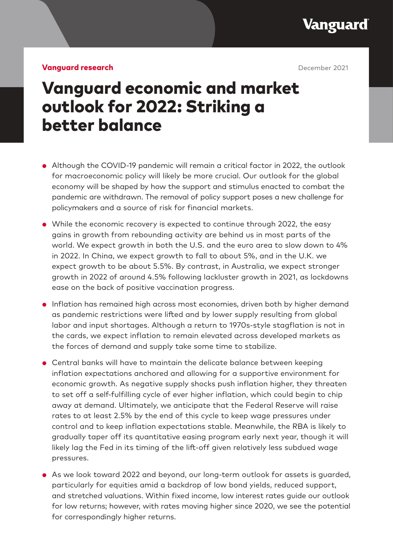Vanguard

#### **Vanguard research December 2021**

# Vanguard economic and market outlook for 2022: Striking a better balance

- Although the COVID-19 pandemic will remain a critical factor in 2022, the outlook for macroeconomic policy will likely be more crucial. Our outlook for the global economy will be shaped by how the support and stimulus enacted to combat the pandemic are withdrawn. The removal of policy support poses a new challenge for policymakers and a source of risk for financial markets.
- While the economic recovery is expected to continue through 2022, the easy gains in growth from rebounding activity are behind us in most parts of the world. We expect growth in both the U.S. and the euro area to slow down to 4% in 2022. In China, we expect growth to fall to about 5%, and in the U.K. we expect growth to be about 5.5%. By contrast, in Australia, we expect stronger growth in 2022 of around 4.5% following lackluster growth in 2021, as lockdowns ease on the back of positive vaccination progress.
- Inflation has remained high across most economies, driven both by higher demand as pandemic restrictions were lifted and by lower supply resulting from global labor and input shortages. Although a return to 1970s-style stagflation is not in the cards, we expect inflation to remain elevated across developed markets as the forces of demand and supply take some time to stabilize.
- Central banks will have to maintain the delicate balance between keeping inflation expectations anchored and allowing for a supportive environment for economic growth. As negative supply shocks push inflation higher, they threaten to set off a self-fulfilling cycle of ever higher inflation, which could begin to chip away at demand. Ultimately, we anticipate that the Federal Reserve will raise rates to at least 2.5% by the end of this cycle to keep wage pressures under control and to keep inflation expectations stable. Meanwhile, the RBA is likely to gradually taper off its quantitative easing program early next year, though it will likely lag the Fed in its timing of the lift-off given relatively less subdued wage pressures.
- As we look toward 2022 and beyond, our long-term outlook for assets is quarded, particularly for equities amid a backdrop of low bond yields, reduced support, and stretched valuations. Within fixed income, low interest rates guide our outlook for low returns; however, with rates moving higher since 2020, we see the potential for correspondingly higher returns.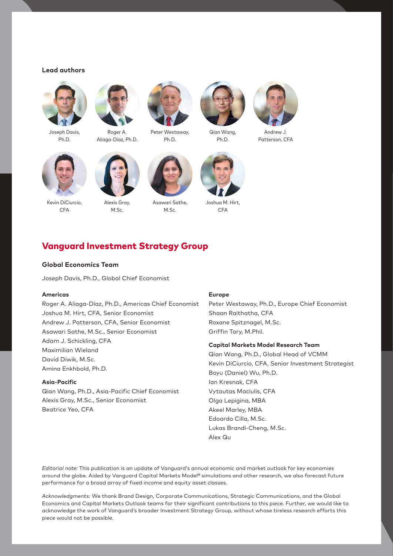#### **Lead authors**



Joseph Davis, Ph.D.



Roger A Aliaga-Díaz, Ph.D.



Peter Westaway, Ph.D.



Qian Wang, Ph.D.



Andrew J. Patterson, CFA



Kevin DiCiurcio, CFA



Alexis Gray, M.Sc.



Asawari Sathe, M.Sc.



Joshua M. Hirt, **CFA** 

# Vanguard Investment Strategy Group

#### **Global Economics Team**

Joseph Davis, Ph.D., Global Chief Economist

#### **Americas**

Roger A. Aliaga-Díaz, Ph.D., Americas Chief Economist Joshua M. Hirt, CFA, Senior Economist Andrew J. Patterson, CFA, Senior Economist Asawari Sathe, M.Sc., Senior Economist Adam J. Schickling, CFA Maximilian Wieland David Diwik, M.Sc. Amina Enkhbold, Ph.D.

### **Asia-Pacific**

Qian Wang, Ph.D., Asia-Pacific Chief Economist Alexis Gray, M.Sc., Senior Economist Beatrice Yeo, CFA

#### **Europe**

Peter Westaway, Ph.D., Europe Chief Economist Shaan Raithatha, CFA Roxane Spitznagel, M.Sc. Griffin Tory, M.Phil.

#### **Capital Markets Model Research Team**

Qian Wang, Ph.D., Global Head of VCMM Kevin DiCiurcio, CFA, Senior Investment Strategist Boyu (Daniel) Wu, Ph.D. Ian Kresnak, CFA Vytautas Maciulis, CFA Olga Lepigina, MBA Akeel Marley, MBA Edoardo Cilla, M.Sc. Lukas Brandl-Cheng, M.Sc. Alex Qu

*Editorial note:* This publication is an update of Vanguard's annual economic and market outlook for key economies around the globe. Aided by Vanguard Capital Markets Model® simulations and other research, we also forecast future performance for a broad array of fixed income and equity asset classes.

*Acknowledgments:* We thank Brand Design, Corporate Communications, Strategic Communications, and the Global Economics and Capital Markets Outlook teams for their significant contributions to this piece. Further, we would like to acknowledge the work of Vanguard's broader Investment Strategy Group, without whose tireless research efforts this piece would not be possible.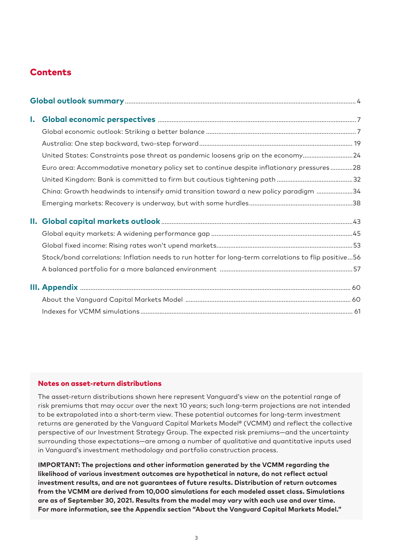# **Contents**

| $\mathbf{I}$ . |                                                                                                      |  |
|----------------|------------------------------------------------------------------------------------------------------|--|
|                |                                                                                                      |  |
|                |                                                                                                      |  |
|                | United States: Constraints pose threat as pandemic loosens grip on the economy24                     |  |
|                | Euro area: Accommodative monetary policy set to continue despite inflationary pressures28            |  |
|                |                                                                                                      |  |
|                | China: Growth headwinds to intensify amid transition toward a new policy paradigm 34                 |  |
|                |                                                                                                      |  |
|                |                                                                                                      |  |
|                |                                                                                                      |  |
|                |                                                                                                      |  |
|                | Stock/bond correlations: Inflation needs to run hotter for long-term correlations to flip positive56 |  |
|                |                                                                                                      |  |
|                |                                                                                                      |  |
|                |                                                                                                      |  |
|                |                                                                                                      |  |

#### Notes on asset-return distributions

The asset-return distributions shown here represent Vanguard's view on the potential range of risk premiums that may occur over the next 10 years; such long-term projections are not intended to be extrapolated into a short-term view. These potential outcomes for long-term investment returns are generated by the Vanguard Capital Markets Model® (VCMM) and reflect the collective perspective of our Investment Strategy Group. The expected risk premiums—and the uncertainty surrounding those expectations—are among a number of qualitative and quantitative inputs used in Vanguard's investment methodology and portfolio construction process.

**IMPORTANT: The projections and other information generated by the VCMM regarding the likelihood of various investment outcomes are hypothetical in nature, do not reflect actual investment results, and are not guarantees of future results. Distribution of return outcomes from the VCMM are derived from 10,000 simulations for each modeled asset class. Simulations are as of September 30, 2021. Results from the model may vary with each use and over time. For more information, see the Appendix section "About the Vanguard Capital Markets Model."**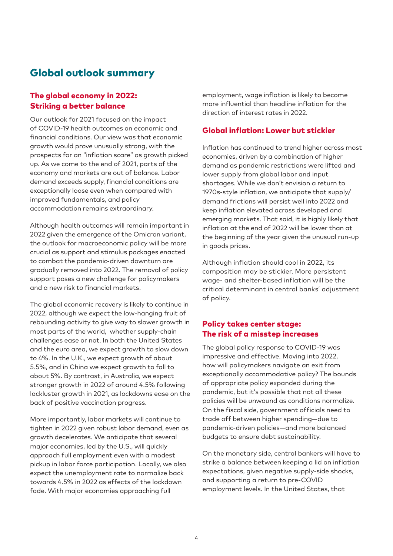# Global outlook summary

# The global economy in 2022: Striking a better balance

Our outlook for 2021 focused on the impact of COVID-19 health outcomes on economic and financial conditions. Our view was that economic growth would prove unusually strong, with the prospects for an "inflation scare" as growth picked up. As we come to the end of 2021, parts of the economy and markets are out of balance. Labor demand exceeds supply, financial conditions are exceptionally loose even when compared with improved fundamentals, and policy accommodation remains extraordinary.

Although health outcomes will remain important in 2022 given the emergence of the Omicron variant, the outlook for macroeconomic policy will be more crucial as support and stimulus packages enacted to combat the pandemic-driven downturn are gradually removed into 2022. The removal of policy support poses a new challenge for policymakers and a new risk to financial markets.

The global economic recovery is likely to continue in 2022, although we expect the low-hanging fruit of rebounding activity to give way to slower growth in most parts of the world, whether supply-chain challenges ease or not. In both the United States and the euro area, we expect growth to slow down to 4%. In the U.K., we expect growth of about 5.5%, and in China we expect growth to fall to about 5%. By contrast, in Australia, we expect stronger growth in 2022 of around 4.5% following lackluster growth in 2021, as lockdowns ease on the back of positive vaccination progress.

More importantly, labor markets will continue to tighten in 2022 given robust labor demand, even as growth decelerates. We anticipate that several major economies, led by the U.S., will quickly approach full employment even with a modest pickup in labor force participation. Locally, we also expect the unemployment rate to normalize back towards 4.5% in 2022 as effects of the lockdown fade. With major economies approaching full

employment, wage inflation is likely to become more influential than headline inflation for the direction of interest rates in 2022.

# Global inflation: Lower but stickier

Inflation has continued to trend higher across most economies, driven by a combination of higher demand as pandemic restrictions were lifted and lower supply from global labor and input shortages. While we don't envision a return to 1970s-style inflation, we anticipate that supply/ demand frictions will persist well into 2022 and keep inflation elevated across developed and emerging markets. That said, it is highly likely that inflation at the end of 2022 will be lower than at the beginning of the year given the unusual run-up in goods prices.

Although inflation should cool in 2022, its composition may be stickier. More persistent wage- and shelter-based inflation will be the critical determinant in central banks' adjustment of policy.

# Policy takes center stage: The risk of a misstep increases

The global policy response to COVID-19 was impressive and effective. Moving into 2022, how will policymakers navigate an exit from exceptionally accommodative policy? The bounds of appropriate policy expanded during the pandemic, but it's possible that not all these policies will be unwound as conditions normalize. On the fiscal side, government officials need to trade off between higher spending—due to pandemic-driven policies—and more balanced budgets to ensure debt sustainability.

On the monetary side, central bankers will have to strike a balance between keeping a lid on inflation expectations, given negative supply-side shocks, and supporting a return to pre-COVID employment levels. In the United States, that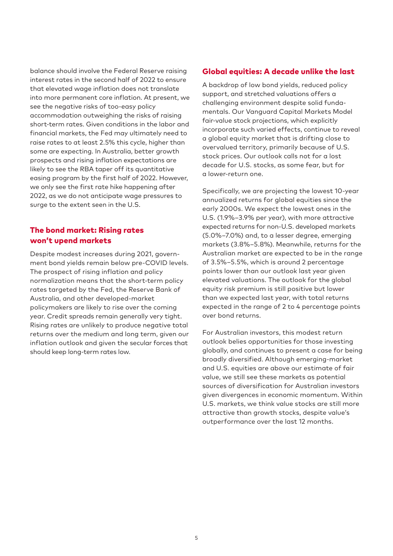balance should involve the Federal Reserve raising interest rates in the second half of 2022 to ensure that elevated wage inflation does not translate into more permanent core inflation. At present, we see the negative risks of too-easy policy accommodation outweighing the risks of raising short-term rates. Given conditions in the labor and financial markets, the Fed may ultimately need to raise rates to at least 2.5% this cycle, higher than some are expecting. In Australia, better growth prospects and rising inflation expectations are likely to see the RBA taper off its quantitative easing program by the first half of 2022. However, we only see the first rate hike happening after 2022, as we do not anticipate wage pressures to surge to the extent seen in the U.S.

# The bond market: Rising rates won't upend markets

Despite modest increases during 2021, government bond yields remain below pre-COVID levels. The prospect of rising inflation and policy normalization means that the short-term policy rates targeted by the Fed, the Reserve Bank of Australia, and other developed-market policymakers are likely to rise over the coming year. Credit spreads remain generally very tight. Rising rates are unlikely to produce negative total returns over the medium and long term, given our inflation outlook and given the secular forces that should keep long-term rates low.

# Global equities: A decade unlike the last

A backdrop of low bond yields, reduced policy support, and stretched valuations offers a challenging environment despite solid fundamentals. Our Vanguard Capital Markets Model fair-value stock projections, which explicitly incorporate such varied effects, continue to reveal a global equity market that is drifting close to overvalued territory, primarily because of U.S. stock prices. Our outlook calls not for a lost decade for U.S. stocks, as some fear, but for a lower-return one.

Specifically, we are projecting the lowest 10-year annualized returns for global equities since the early 2000s. We expect the lowest ones in the U.S. (1.9%–3.9% per year), with more attractive expected returns for non-U.S. developed markets (5.0%–7.0%) and, to a lesser degree, emerging markets (3.8%–5.8%). Meanwhile, returns for the Australian market are expected to be in the range of 3.5%–5.5%, which is around 2 percentage points lower than our outlook last year given elevated valuations. The outlook for the global equity risk premium is still positive but lower than we expected last year, with total returns expected in the range of 2 to 4 percentage points over bond returns.

For Australian investors, this modest return outlook belies opportunities for those investing globally, and continues to present a case for being broadly diversified. Although emerging-market and U.S. equities are above our estimate of fair value, we still see these markets as potential sources of diversification for Australian investors given divergences in economic momentum. Within U.S. markets, we think value stocks are still more attractive than growth stocks, despite value's outperformance over the last 12 months.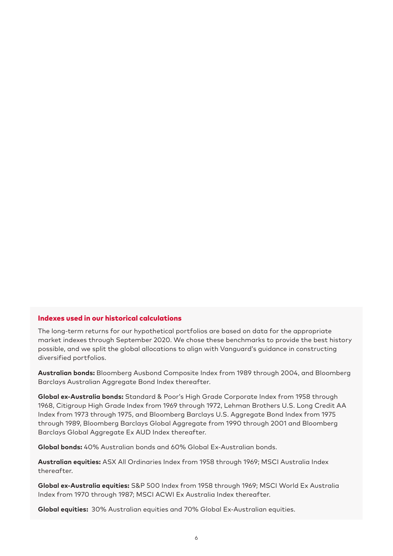### Indexes used in our historical calculations

The long-term returns for our hypothetical portfolios are based on data for the appropriate market indexes through September 2020. We chose these benchmarks to provide the best history possible, and we split the global allocations to align with Vanguard's guidance in constructing diversified portfolios.

**Australian bonds:** Bloomberg Ausbond Composite Index from 1989 through 2004, and Bloomberg Barclays Australian Aggregate Bond Index thereafter.

**Global ex-Australia bonds:** Standard & Poor's High Grade Corporate Index from 1958 through 1968, Citigroup High Grade Index from 1969 through 1972, Lehman Brothers U.S. Long Credit AA Index from 1973 through 1975, and Bloomberg Barclays U.S. Aggregate Bond Index from 1975 through 1989, Bloomberg Barclays Global Aggregate from 1990 through 2001 and Bloomberg Barclays Global Aggregate Ex AUD Index thereafter.

**Global bonds:** 40% Australian bonds and 60% Global Ex-Australian bonds.

**Australian equities:** ASX All Ordinaries Index from 1958 through 1969; MSCI Australia Index thereafter.

**Global ex-Australia equities:** S&P 500 Index from 1958 through 1969; MSCI World Ex Australia Index from 1970 through 1987; MSCI ACWI Ex Australia Index thereafter.

**Global equities:** 30% Australian equities and 70% Global Ex-Australian equities.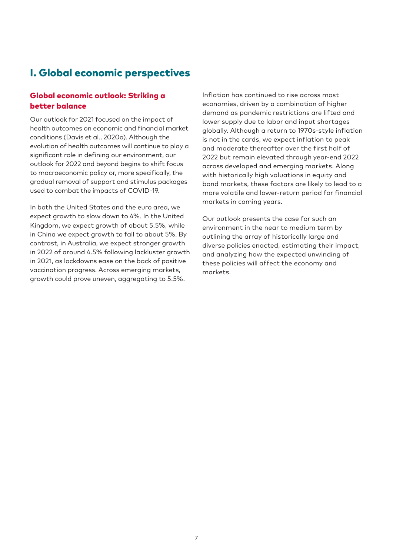# I. Global economic perspectives

# Global economic outlook: Striking a better balance

Our outlook for 2021 focused on the impact of health outcomes on economic and financial market conditions (Davis et al., 2020a). Although the evolution of health outcomes will continue to play a significant role in defining our environment, our outlook for 2022 and beyond begins to shift focus to macroeconomic policy or, more specifically, the gradual removal of support and stimulus packages used to combat the impacts of COVID-19.

In both the United States and the euro area, we expect growth to slow down to 4%. In the United Kingdom, we expect growth of about 5.5%, while in China we expect growth to fall to about 5%. By contrast, in Australia, we expect stronger growth in 2022 of around 4.5% following lackluster growth in 2021, as lockdowns ease on the back of positive vaccination progress. Across emerging markets, growth could prove uneven, aggregating to 5.5%.

Inflation has continued to rise across most economies, driven by a combination of higher demand as pandemic restrictions are lifted and lower supply due to labor and input shortages globally. Although a return to 1970s-style inflation is not in the cards, we expect inflation to peak and moderate thereafter over the first half of 2022 but remain elevated through year-end 2022 across developed and emerging markets. Along with historically high valuations in equity and bond markets, these factors are likely to lead to a more volatile and lower-return period for financial markets in coming years.

Our outlook presents the case for such an environment in the near to medium term by outlining the array of historically large and diverse policies enacted, estimating their impact, and analyzing how the expected unwinding of these policies will affect the economy and markets.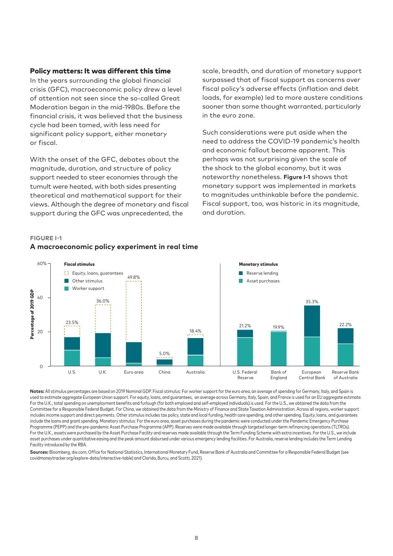#### Policy matters: It was different this time

In the years surrounding the global financial crisis (GFC), macroeconomic policy drew a level of attention not seen since the so-called Great Moderation began in the mid-1980s. Before the financial crisis, it was believed that the business cycle had been tamed, with less need for significant policy support, either monetary or fiscal.

With the onset of the GFC, debates about the magnitude, duration, and structure of policy support needed to steer economies through the tumult were heated, with both sides presenting theoretical and mathematical support for their views. Although the degree of monetary and fiscal support during the GFC was unprecedented, the

scale, breadth, and duration of monetary support surpassed that of fiscal support as concerns over fiscal policy's adverse effects (inflation and debt loads, for example) led to more austere conditions sooner than some thought warranted, particularly in the euro zone.

Such considerations were put aside when the need to address the COVID-19 pandemic's health and economic fallout became apparent. This perhaps was not surprising given the scale of the shock to the global economy, but it was noteworthy nonetheless. **Figure I-1** shows that monetary support was implemented in markets to magnitudes unthinkable before the pandemic. Fiscal support, too, was historic in its magnitude, and duration.

#### **FIGURE I-1**



# **A macroeconomic policy experiment in real time**

**Notes:** All stimulus percentages are based on 2019 Nominal GDP. Fiscal stimulus: For worker support for the euro area, an average of spending for Germany, Italy, and Spain is used to estimate aggregate European Union support. For equity, loans, and guarantees, an average across Germany, Italy, Spain, and France is used for an EU aggregate estimate. For the U.K., total spending on unemployment benefits and furlough (for both employed and self-employed individuals) is used. For the U.S., we obtained the data from the Committee for a Responsible Federal Budget. For China, we obtained the data from the Ministry of Finance and State Taxation Administration. Across all regions, worker support includes income support and direct payments. Other stimulus includes tax policy, state and local funding, health care spending, and other spending. Equity, loans, and guarantees include the loans and grant spending. Monetary stimulus: For the euro area, asset purchases during the pandemic were conducted under the Pandemic Emergency Purchase Programme (PEPP) and the pre-pandemic Asset Purchase Programme (APP). Reserves were made available through targeted longer-term refinancing operations (TLTROs). For the U.K., assets were purchased by the Asset Purchase Facility and reserves made available through the Term Funding Scheme with extra incentives. For the U.S., we include asset purchases under quantitative easing and the peak amount disbursed under various emergency lending facilities. For Australia, reserve lending includes the Term Lending Facility introduced by the RBA.

**Sources:** Bloomberg, dw.com, Office for National Statistics, International Monetary Fund, Reserve Bank of Australia and Committee for a Responsible Federal Budget (see covidmoneytracker.org/explore-data/interactive-table) and Clarida, Burcu, and Scotti, 2021).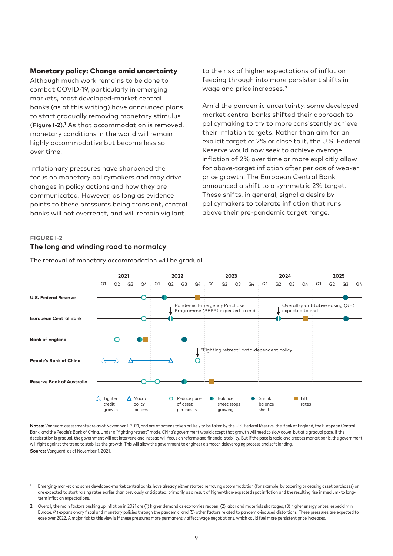#### Monetary policy: Change amid uncertainty

Although much work remains to be done to combat COVID-19, particularly in emerging markets, most developed-market central banks (as of this writing) have announced plans to start gradually removing monetary stimulus (**Figure I-2**).1 As that accommodation is removed, monetary conditions in the world will remain highly accommodative but become less so over time.

Inflationary pressures have sharpened the focus on monetary policymakers and may drive changes in policy actions and how they are communicated. However, as long as evidence points to these pressures being transient, central banks will not overreact, and will remain vigilant

to the risk of higher expectations of inflation feeding through into more persistent shifts in wage and price increases.2

Amid the pandemic uncertainty, some developedmarket central banks shifted their approach to policymaking to try to more consistently achieve their inflation targets. Rather than aim for an explicit target of 2% or close to it, the U.S. Federal Reserve would now seek to achieve average inflation of 2% over time or more explicitly allow for above-target inflation after periods of weaker price growth. The European Central Bank announced a shift to a symmetric 2% target. These shifts, in general, signal a desire by policymakers to tolerate inflation that runs above their pre-pandemic target range.

#### **FIGURE I-2**

# **The long and winding road to normalcy**

The removal of monetary accommodation will be gradual



Notes: Vanguard assessments are as of November 1, 2021, and are of actions taken or likely to be taken by the U.S. Federal Reserve, the Bank of England, the European Central Bank, and the People's Bank of China. Under a "fighting retreat" mode, China's government would accept that growth will need to slow down, but at a gradual pace. If the deceleration is gradual, the government will not intervene and instead will focus on reforms and financial stability. But if the pace is rapid and creates market panic, the government will fight against the trend to stabilize the growth. This will allow the government to engineer a smooth deleveraging process and soft landing. **Source:** Vanguard, as of November 1, 2021.

**2** Overall, the main factors pushing up inflation in 2021 are (1) higher demand as economies reopen, (2) labor and materials shortages, (3) higher energy prices, especially in Europe, (4) expansionary fiscal and monetary policies through the pandemic, and (5) other factors related to pandemic-induced distortions. These pressures are expected to ease over 2022. A major risk to this view is if these pressures more permanently affect wage negotiations, which could fuel more persistent price increases.

**<sup>1</sup>** Emerging-market and some developed-market central banks have already either started removing accommodation (for example, by tapering or ceasing asset purchases) or are expected to start raising rates earlier than previously anticipated, primarily as a result of higher-than-expected spot inflation and the resulting rise in medium- to longterm inflation expectations.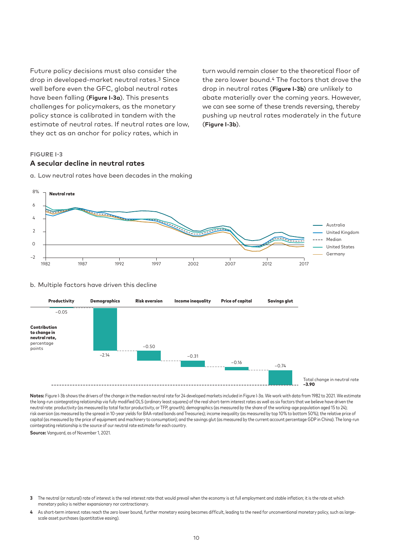Future policy decisions must also consider the drop in developed-market neutral rates.3 Since well before even the GFC, global neutral rates have been falling (**Figure I-3a**). This presents challenges for policymakers, as the monetary policy stance is calibrated in tandem with the estimate of neutral rates. If neutral rates are low, they act as an anchor for policy rates, which in

turn would remain closer to the theoretical floor of the zero lower bound.4 The factors that drove the drop in neutral rates (**Figure I-3b**) are unlikely to abate materially over the coming years. However, we can see some of these trends reversing, thereby pushing up neutral rates moderately in the future (**Figure I-3b**).

#### **FIGURE I-3**

#### **A secular decline in neutral rates**

a. Low neutral rates have been decades in the making



#### b. Multiple factors have driven this decline



Notes: Figure I-3b shows the drivers of the change in the median neutral rate for 24 developed markets included in Figure I-3a. We work with data from 1982 to 2021. We estimate the long-run cointegrating relationship via fully modified OLS (ordinary least squares) of the real short-term interest rates as well as six factors that we believe have driven the neutral rate: productivity (as measured by total factor productivity, or TFP, growth); demographics (as measured by the share of the working-age population aged 15 to 24); risk aversion (as measured by the spread in 10-year yields for BAA-rated bonds and Treasuries); income inequality (as measured by top 10% to bottom 50%); the relative price of capital (as measured by the price of equipment and machinery to consumption); and the savings glut (as measured by the current account percentage GDP in China). The long-run cointegrating relationship is the source of our neutral rate estimate for each country.

**Source:** Vanguard, as of November 1, 2021.

- **3** The neutral (or natural) rate of interest is the real interest rate that would prevail when the economy is at full employment and stable inflation; it is the rate at which monetary policy is neither expansionary nor contractionary.
- **4** As short-term interest rates reach the zero lower bound, further monetary easing becomes difficult, leading to the need for unconventional monetary policy, such as largescale asset purchases (quantitative easing).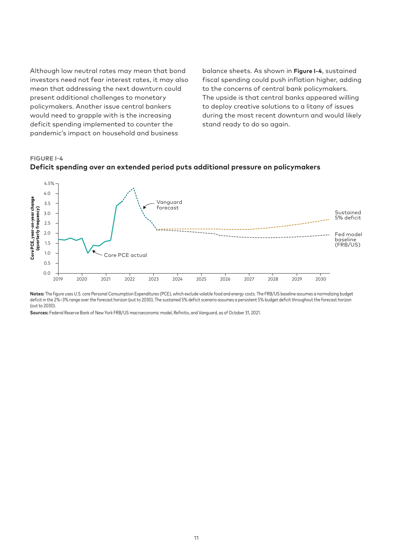Although low neutral rates may mean that bond investors need not fear interest rates, it may also mean that addressing the next downturn could present additional challenges to monetary policymakers. Another issue central bankers would need to grapple with is the increasing deficit spending implemented to counter the pandemic's impact on household and business

balance sheets. As shown in **Figure I-4**, sustained fiscal spending could push inflation higher, adding to the concerns of central bank policymakers. The upside is that central banks appeared willing to deploy creative solutions to a litany of issues during the most recent downturn and would likely stand ready to do so again.

**FIGURE I-4**



**Deficit spending over an extended period puts additional pressure on policymakers**

**Notes:** The figure uses U.S. core Personal Consumption Expenditures (PCE), which exclude volatile food and energy costs. The FRB/US baseline assumes a normalizing budget deficit in the 2%–3% range over the forecast horizon (out to 2030). The sustained 5% deficit scenario assumes a persistent 5% budget deficit throughout the forecast horizon (out to 2030).

**Sources:** Federal Reserve Bank of New York FRB/US macroeconomic model, Refinitiv, and Vanguard, as of October 31, 2021.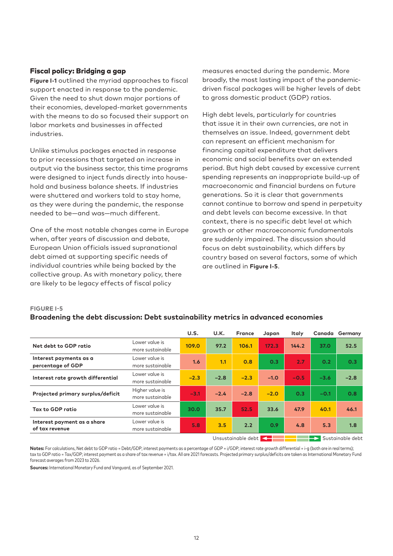## Fiscal policy: Bridging a gap

**Figure I-1** outlined the myriad approaches to fiscal support enacted in response to the pandemic. Given the need to shut down major portions of their economies, developed-market governments with the means to do so focused their support on labor markets and businesses in affected industries.

Unlike stimulus packages enacted in response to prior recessions that targeted an increase in output via the business sector, this time programs were designed to inject funds directly into household and business balance sheets. If industries were shuttered and workers told to stay home, as they were during the pandemic, the response needed to be—and was—much different.

One of the most notable changes came in Europe when, after years of discussion and debate, European Union officials issued supranational debt aimed at supporting specific needs of individual countries while being backed by the collective group. As with monetary policy, there are likely to be legacy effects of fiscal policy

measures enacted during the pandemic. More broadly, the most lasting impact of the pandemicdriven fiscal packages will be higher levels of debt to gross domestic product (GDP) ratios.

High debt levels, particularly for countries that issue it in their own currencies, are not in themselves an issue. Indeed, government debt can represent an efficient mechanism for financing capital expenditure that delivers economic and social benefits over an extended period. But high debt caused by excessive current spending represents an inappropriate build-up of macroeconomic and financial burdens on future generations. So it is clear that governments cannot continue to borrow and spend in perpetuity and debt levels can become excessive. In that context, there is no specific debt level at which growth or other macroeconomic fundamentals are suddenly impaired. The discussion should focus on debt sustainability, which differs by country based on several factors, some of which are outlined in **Figure I-5**.

#### **FIGURE I-5**

#### **Broadening the debt discussion: Debt sustainability metrics in advanced economies**

|                                               |                                     | U.S.   | U.K.   | <b>France</b>                           | Japan                    | <b>Italy</b> | Canada | Germany                                                  |
|-----------------------------------------------|-------------------------------------|--------|--------|-----------------------------------------|--------------------------|--------------|--------|----------------------------------------------------------|
| Net debt to GDP ratio                         | Lower value is<br>more sustainable  | 109.0  | 97.2   | 106.1                                   | 172.3                    | 144.2        | 37.0   | 52.5                                                     |
| Interest payments as a<br>percentage of GDP   | Lower value is<br>more sustainable  | 1.6    | 1.1    | 0.8                                     | 0.3                      | 2.7          | 0.2    | 0.3                                                      |
| Interest rate growth differential             | Lower value is<br>more sustainable  | $-2.3$ | $-2.8$ | $-2.3$                                  | $-1.0$                   | $-0.5$       | $-3.6$ | $-2.8$                                                   |
| Projected primary surplus/deficit             | Higher value is<br>more sustainable | $-3.1$ | $-2.4$ | $-2.8$                                  | $-2.0$                   | 0.3          | $-0.1$ | 0.8                                                      |
| Tax to GDP ratio                              | Lower value is<br>more sustainable  | 30.0   | 35.7   | 52.5                                    | 33.6                     | 47.9         | 40.1   | 46.1                                                     |
| Interest payment as a share<br>of tax revenue | Lower value is<br>more sustainable  | 5.8    | 3.5    | 2.2                                     | 0.9                      | 4.8          | 5.3    | 1.8                                                      |
|                                               |                                     |        |        | and the property with the collection of | <b>Contract Contract</b> |              |        | <b>Experience in the state of the state of the state</b> |

Unsustainable debt **Sustainable debt** 

Notes: For calculations, Net debt to GDP ratio = Debt/GDP; interest payments as a percentage of GDP = i/GDP; interest rate growth differential = i-g (both are in real terms); tax to GDP ratio = Tax/GDP; interest payment as a share of tax revenue = i/tax. All are 2021 forecasts. Projected primary surplus/deficits are taken as International Monetary Fund forecast averages from 2023 to 2026.

**Sources:** International Monetary Fund and Vanguard, as of September 2021.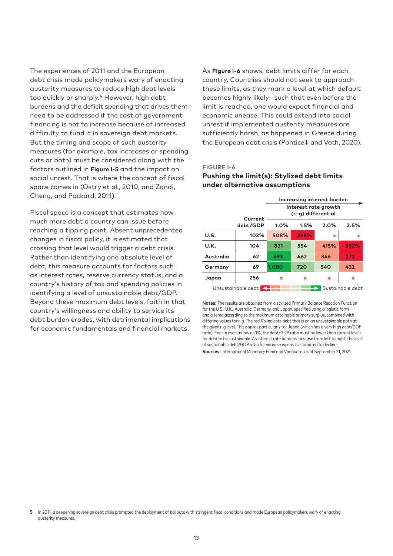The experiences of 2011 and the European debt crisis made policymakers wary of enacting austerity measures to reduce high debt levels too quickly or sharply.<sup>5</sup> However, high debt burdens and the deficit spending that drives them need to be addressed if the cost of government financing is not to increase because of increased difficulty to fund it in sovereign debt markets. But the timing and scope of such austerity measures (for example, tax increases or spending cuts or both) must be considered along with the factors outlined in **Figure I-5** and the impact on social unrest. That is where the concept of fiscal space comes in (Ostry et al., 2010, and Zandi, Cheng, and Packard, 2011).

Fiscal space is a concept that estimates how much more debt a country can issue before reaching a tipping point. Absent unprecedented changes in fiscal policy, it is estimated that crossing that level would trigger a debt crisis. Rather than identifying one absolute level of debt, this measure accounts for factors such as interest rates, reserve currency status, and a country's history of tax and spending policies in identifying a level of unsustainable debt/GDP. Beyond these maximum debt levels, faith in that country's willingness and ability to service its debt burden erodes, with detrimental implications for economic fundamentals and financial markets.

As **Figure I-6** shows, debt limits differ for each country. Countries should not seek to approach these limits, as they mark a level at which default becomes highly likely—such that even before the limit is reached, one would expect financial and economic unease. This could extend into social unrest if implemented austerity measures are sufficiently harsh, as happened in Greece during the European debt crisis (Ponticelli and Voth, 2020).

#### **FIGURE I-6**

#### **Pushing the limit(s): Stylized debt limits under alternative assumptions**

|                                        |          | Increasing interest burden                 |      |      |      |  |  |
|----------------------------------------|----------|--------------------------------------------|------|------|------|--|--|
|                                        | Current  | Interest rate growth<br>(r-g) differential |      |      |      |  |  |
|                                        | debt/GDP | 1.0%                                       | 1.5% | 2.0% | 2.5% |  |  |
| U.S.                                   | 103%     | 508%                                       | 338% | x    | x    |  |  |
| U.K.                                   | 104      | 831                                        | 554  | 415% | 332% |  |  |
| Australia                              | 62       | 693                                        | 462  | 346  | 272  |  |  |
| Germany                                | 69       | 1,080                                      | 720  | 540  | 432  |  |  |
| Japan                                  | 256      | $\mathbf x$                                | ×    | x    | x    |  |  |
| Unsustainable debt<br>Sustainable debt |          |                                            |      |      |      |  |  |

**Notes:** The results are obtained from a stylized Primary Balance Reaction Function for the U.S., U.K., Australia, Germany, and Japan, specified using a logistic form and altered according to the maximum attainable primary surplus, combined with differing values for r-g. The red X's indicate debt that is on an unsustainable path at the given r-g level. This applies particularly for Japan (which has a very high debt/GDP ratio). For r-g even as low as 1%, the debt/GDP ratio must be lower than current levels for debt to be sustainable. As interest rate burdens increase from left to right, the level of sustainable debt/GDP ratio for various regions is estimated to decline. **Sources:** International Monetary Fund and Vanguard, as of September 21, 2021.

**5** In 2011, a deepening sovereign debt crisis prompted the deployment of bailouts with stringent fiscal conditions and made European policymakers wary of enacting austerity measures.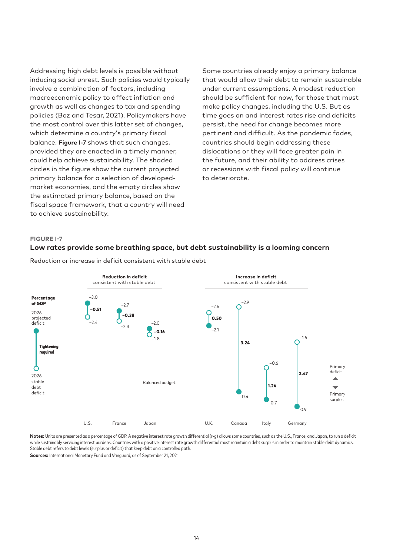Addressing high debt levels is possible without inducing social unrest. Such policies would typically involve a combination of factors, including macroeconomic policy to affect inflation and growth as well as changes to tax and spending policies (Boz and Tesar, 2021). Policymakers have the most control over this latter set of changes, which determine a country's primary fiscal balance. **Figure I-7** shows that such changes, provided they are enacted in a timely manner, could help achieve sustainability. The shaded circles in the figure show the current projected primary balance for a selection of developedmarket economies, and the empty circles show the estimated primary balance, based on the fiscal space framework, that a country will need to achieve sustainability.

Some countries already enjoy a primary balance that would allow their debt to remain sustainable under current assumptions. A modest reduction should be sufficient for now, for those that must make policy changes, including the U.S. But as time goes on and interest rates rise and deficits persist, the need for change becomes more pertinent and difficult. As the pandemic fades, countries should begin addressing these dislocations or they will face greater pain in the future, and their ability to address crises or recessions with fiscal policy will continue to deteriorate.

#### **FIGURE I-7**

# **Low rates provide some breathing space, but debt sustainability is a looming concern**



Reduction or increase in deficit consistent with stable debt

**Notes:** Units are presented as a percentage of GDP. A negative interest rate growth differential (r-g) allows some countries, such as the U.S., France, and Japan, to run a deficit while sustainably servicing interest burdens. Countries with a positive interest rate growth differential must maintain a debt surplus in order to maintain stable debt dynamics. Stable debt refers to debt levels (surplus or deficit) that keep debt on a controlled path.

**Sources:** International Monetary Fund and Vanguard, as of September 21, 2021.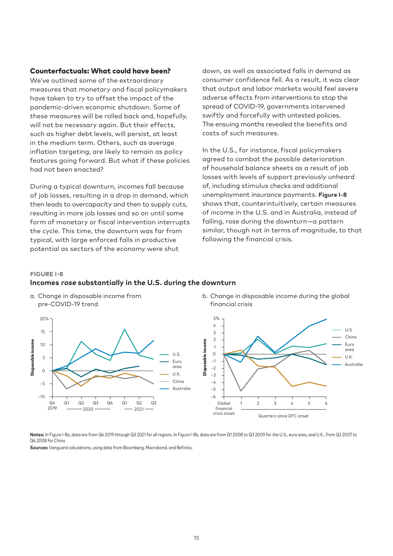#### Counterfactuals: What could have been?

We've outlined some of the extraordinary measures that monetary and fiscal policymakers have taken to try to offset the impact of the pandemic-driven economic shutdown. Some of these measures will be rolled back and, hopefully, will not be necessary again. But their effects, such as higher debt levels, will persist, at least in the medium term. Others, such as average inflation targeting, are likely to remain as policy features going forward. But what if these policies had not been enacted?

During a typical downturn, incomes fall because of job losses, resulting in a drop in demand, which then leads to overcapacity and then to supply cuts, resulting in more job losses and so on until some form of monetary or fiscal intervention interrupts the cycle. This time, the downturn was far from typical, with large enforced falls in productive potential as sectors of the economy were shut

down, as well as associated falls in demand as consumer confidence fell. As a result, it was clear that output and labor markets would feel severe adverse effects from interventions to stop the spread of COVID-19, governments intervened swiftly and forcefully with untested policies. The ensuing months revealed the benefits and costs of such measures.

In the U.S., for instance, fiscal policymakers agreed to combat the possible deterioration of household balance sheets as a result of job losses with levels of support previously unheard of, including stimulus checks and additional unemployment insurance payments. **Figure I-8** shows that, counterintuitively, certain measures of income in the U.S. and in Australia, instead of falling, rose during the downturn—a pattern similar, though not in terms of magnitude, to that following the financial crisis.

#### **FIGURE I-8**

#### **Incomes rose substantially in the U.S. during the downturn**



b. Change in disposable income during the global financial crisis



Notes: In Figure I-8a, data are from Q4 2019 through Q3 2021 for all regions. In Figure I-8b, data are from Q1 2008 to Q3 2009 for the U.S., euro area, and U.K., from Q2 2007 to Q4 2008 for China.

**Sources:** Vanguard calculations, using data from Bloomberg, Macrobond, and Refinitiv.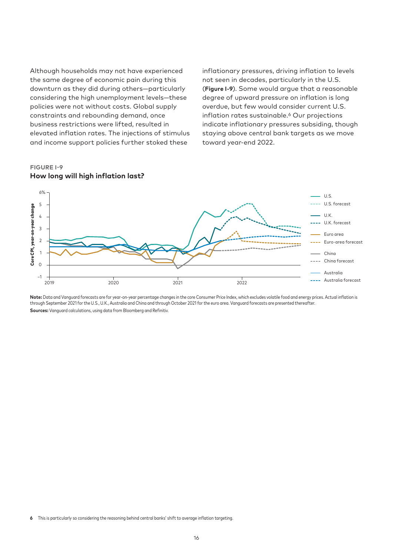Although households may not have experienced the same degree of economic pain during this downturn as they did during others—particularly considering the high unemployment levels—these policies were not without costs. Global supply constraints and rebounding demand, once business restrictions were lifted, resulted in elevated inflation rates. The injections of stimulus and income support policies further stoked these

inflationary pressures, driving inflation to levels not seen in decades, particularly in the U.S. (**Figure I-9**). Some would argue that a reasonable degree of upward pressure on inflation is long overdue, but few would consider current U.S. inflation rates sustainable.<sup>6</sup> Our projections indicate inflationary pressures subsiding, though staying above central bank targets as we move toward year-end 2022.



# **FIGURE I-9 How long will high inflation last?**

Note: Data and Vanguard forecasts are for year-on-year percentage changes in the core Consumer Price Index, which excludes volatile food and energy prices. Actual inflation is through September 2021 for the U.S., U.K., Australia and China and through October 2021 for the euro area. Vanguard forecasts are presented thereafter. **Sources:** Vanguard calculations, using data from Bloomberg and Refinitiv.

**<sup>6</sup>** This is particularly so considering the reasoning behind central banks' shift to average inflation targeting.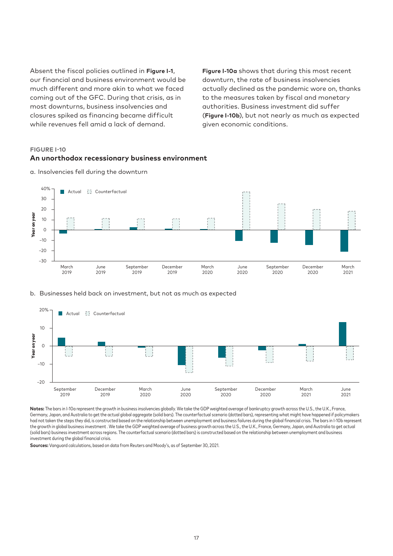Absent the fiscal policies outlined in **Figure I-1**, our financial and business environment would be much different and more akin to what we faced coming out of the GFC. During that crisis, as in most downturns, business insolvencies and closures spiked as financing became difficult while revenues fell amid a lack of demand.

**Figure I-10a** shows that during this most recent downturn, the rate of business insolvencies actually declined as the pandemic wore on, thanks to the measures taken by fiscal and monetary authorities. Business investment did suffer (**Figure I-10b**), but not nearly as much as expected given economic conditions.

#### **FIGURE I-10**

#### **An unorthodox recessionary business environment**



a. Insolvencies fell during the downturn

#### b. Businesses held back on investment, but not as much as expected



**Notes:** The bars in I-10a represent the growth in business insolvencies globally. We take the GDP weighted average of bankruptcy growth across the U.S., the U.K., France, Germany, Japan, and Australia to get the actual global aggregate (solid bars). The counterfactual scenario (dotted bars), representing what might have happened if policymakers had not taken the steps they did, is constructed based on the relationship between unemployment and business failures during the global financial crisis. The bars in I-10b represent the growth in global business investment . We take the GDP weighted average of business growth across the U.S., the U.K., France, Germany, Japan, and Australia to get actual (solid bars) business investment across regions. The counterfactual scenario (dotted bars) is constructed based on the relationship between unemployment and business investment during the global financial crisis.

**Sources:** Vanguard calculations, based on data from Reuters and Moody's, as of September 30, 2021.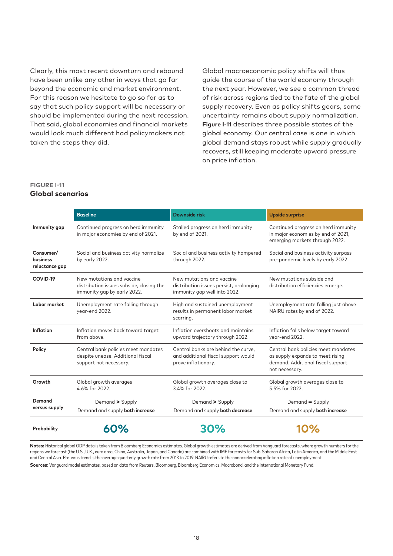Clearly, this most recent downturn and rebound have been unlike any other in ways that go far beyond the economic and market environment. For this reason we hesitate to go so far as to say that such policy support will be necessary or should be implemented during the next recession. That said, global economies and financial markets would look much different had policymakers not taken the steps they did.

Global macroeconomic policy shifts will thus guide the course of the world economy through the next year. However, we see a common thread of risk across regions tied to the fate of the global supply recovery. Even as policy shifts gears, some uncertainty remains about supply normalization. **Figure I-11** describes three possible states of the global economy. Our central case is one in which global demand stays robust while supply gradually recovers, still keeping moderate upward pressure on price inflation.

### **FIGURE I-11**

#### **Global scenarios**

|                                         | <b>Baseline</b>                                                                                      | Downside risk                                                                                        | <b>Upside surprise</b>                                                                                                         |
|-----------------------------------------|------------------------------------------------------------------------------------------------------|------------------------------------------------------------------------------------------------------|--------------------------------------------------------------------------------------------------------------------------------|
| Immunity gap                            | Continued progress on herd immunity<br>in major economies by end of 2021.                            | Stalled progress on herd immunity<br>by end of 2021.                                                 | Continued progress on herd immunity<br>in major economies by end of 2021,<br>emerging markets through 2022.                    |
| Consumer/<br>business<br>reluctance gap | Social and business activity normalize<br>by early 2022.                                             | Social and business activity hampered<br>through 2022.                                               | Social and business activity surpass<br>pre-pandemic levels by early 2022.                                                     |
| COVID-19                                | New mutations and vaccine<br>distribution issues subside, closing the<br>immunity gap by early 2022. | New mutations and vaccine<br>distribution issues persist, prolonging<br>immunity gap well into 2022. | New mutations subside and<br>distribution efficiencies emerge.                                                                 |
| Labor market                            | Unemployment rate falling through<br>year-end 2022.                                                  | High and sustained unemployment<br>results in permanent labor market<br>scarring.                    | Unemployment rate falling just above<br>NAIRU rates by end of 2022.                                                            |
| Inflation                               | Inflation moves back toward target<br>from above.                                                    | Inflation overshoots and maintains<br>upward trajectory through 2022.                                | Inflation falls below target toward<br>year-end 2022.                                                                          |
| Policy                                  | Central bank policies meet mandates<br>despite unease. Additional fiscal<br>support not necessary.   | Central banks are behind the curve.<br>and additional fiscal support would<br>prove inflationary.    | Central bank policies meet mandates<br>as supply expands to meet rising<br>demand. Additional fiscal support<br>not necessary. |
| Growth                                  | Global growth averages<br>4.6% for 2022.                                                             | Global growth averages close to<br>3.4% for 2022.                                                    | Global growth averages close to<br>5.5% for 2022.                                                                              |
| Demand                                  | Demand > Supply                                                                                      | Demand > Supply                                                                                      | Demand = Supply                                                                                                                |
| versus supply                           | Demand and supply both increase                                                                      | Demand and supply both decrease                                                                      | Demand and supply both increase                                                                                                |
| Probability                             | 60%                                                                                                  | <b>30%</b>                                                                                           | <b>10%</b>                                                                                                                     |

**Notes:** Historical global GDP data is taken from Bloomberg Economics estimates. Global growth estimates are derived from Vanguard forecasts, where growth numbers for the regions we forecast (the U.S., U.K., euro area, China, Australia, Japan, and Canada) are combined with IMF forecasts for Sub-Saharan Africa, Latin America, and the Middle East and Central Asia. Pre-virus trend is the average quarterly growth rate from 2013 to 2019. NAIRU refers to the nonaccelerating inflation rate of unemployment.

**Sources:** Vanguard model estimates, based on data from Reuters, Bloomberg, Bloomberg Economics, Macrobond, and the International Monetary Fund.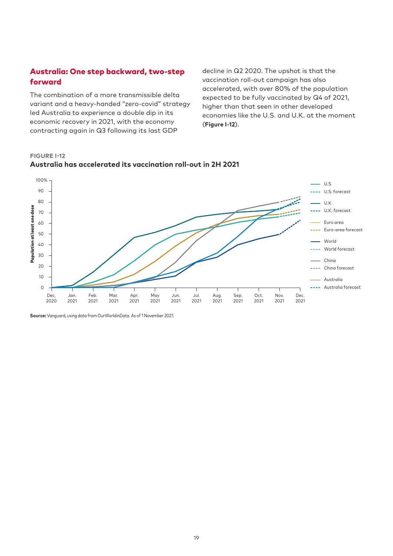# Australia: One step backward, two-step forward

The combination of a more transmissible delta variant and a heavy-handed "zero-covid" strategy led Australia to experience a double dip in its economic recovery in 2021, with the economy contracting again in Q3 following its last GDP

decline in Q2 2020. The upshot is that the vaccination roll-out campaign has also accelerated, with over 80% of the population expected to be fully vaccinated by Q4 of 2021, higher than that seen in other developed economies like the U.S. and U.K. at the moment (**Figure I-12**).

**FIGURE I-12 Australia has accelerated its vaccination roll-out in 2H 2021**



**Source:** Vanguard, using data from OurWorldinData. As of 1 November 2021.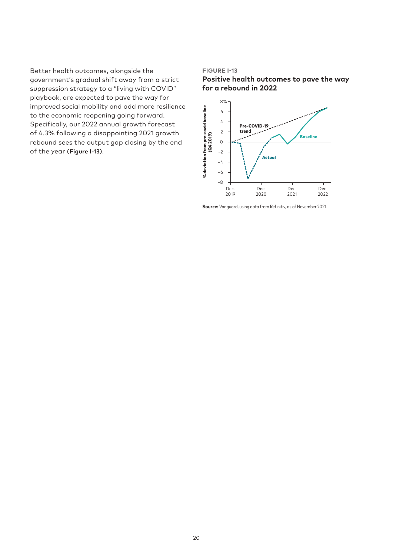Better health outcomes, alongside the government's gradual shift away from a strict suppression strategy to a "living with COVID" playbook, are expected to pave the way for improved social mobility and add more resilience to the economic reopening going forward. Specifically, our 2022 annual growth forecast of 4.3% following a disappointing 2021 growth rebound sees the output gap closing by the end of the year (**Figure I-13**).

#### **FIGURE I-13**





**Source:** Vanguard, using data from Refinitiv, as of November 2021.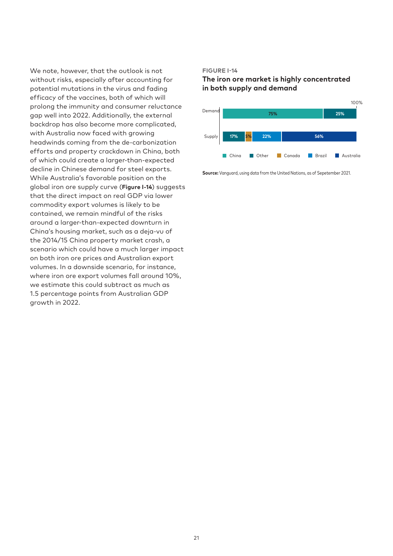We note, however, that the outlook is not without risks, especially after accounting for potential mutations in the virus and fading efficacy of the vaccines, both of which will prolong the immunity and consumer reluctance gap well into 2022. Additionally, the external backdrop has also become more complicated, with Australia now faced with growing headwinds coming from the de-carbonization efforts and property crackdown in China, both of which could create a larger-than-expected decline in Chinese demand for steel exports. While Australia's favorable position on the global iron ore supply curve (**Figure I-14**) suggests that the direct impact on real GDP via lower commodity export volumes is likely to be contained, we remain mindful of the risks around a larger-than-expected downturn in China's housing market, such as a deja-vu of the 2014/15 China property market crash, a scenario which could have a much larger impact on both iron ore prices and Australian export volumes. In a downside scenario, for instance, where iron ore export volumes fall around 10%, we estimate this could subtract as much as 1.5 percentage points from Australian GDP growth in 2022.

#### **FIGURE I-14**

# **The iron ore market is highly concentrated in both supply and demand**



**Source:** Vanguard, using data from the United Nations, as of Sepetember 2021.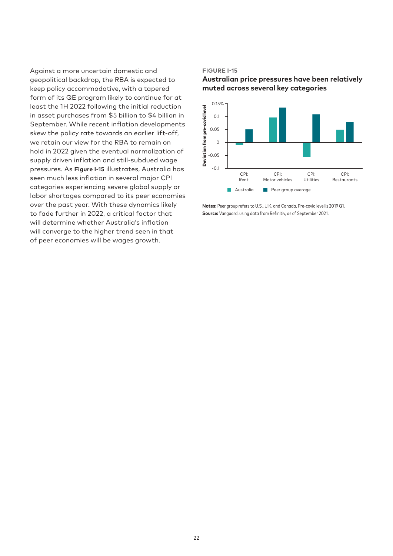Against a more uncertain domestic and geopolitical backdrop, the RBA is expected to keep policy accommodative, with a tapered form of its QE program likely to continue for at least the 1H 2022 following the initial reduction in asset purchases from \$5 billion to \$4 billion in September. While recent inflation developments skew the policy rate towards an earlier lift-off, we retain our view for the RBA to remain on hold in 2022 given the eventual normalization of supply driven inflation and still-subdued wage pressures. As **Figure I-15** illustrates, Australia has seen much less inflation in several major CPI categories experiencing severe global supply or labor shortages compared to its peer economies over the past year. With these dynamics likely to fade further in 2022, a critical factor that will determine whether Australia's inflation will converge to the higher trend seen in that of peer economies will be wages growth.

#### **FIGURE I-15**

**Australian price pressures have been relatively muted across several key categories**



**Notes:** Peer group refers to U.S., U.K. and Canada. Pre-covid level is 2019 Q1. **Source:** Vanguard, using data from Refinitiv, as of September 2021.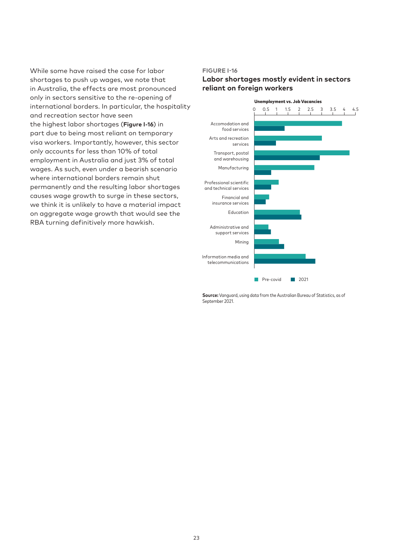While some have raised the case for labor shortages to push up wages, we note that in Australia, the effects are most pronounced only in sectors sensitive to the re-opening of international borders. In particular, the hospitality and recreation sector have seen the highest labor shortages (**Figure I-16**) in part due to being most reliant on temporary visa workers. Importantly, however, this sector only accounts for less than 10% of total employment in Australia and just 3% of total wages. As such, even under a bearish scenario where international borders remain shut permanently and the resulting labor shortages causes wage growth to surge in these sectors, we think it is unlikely to have a material impact on aggregate wage growth that would see the RBA turning definitively more hawkish.

#### **FIGURE I-16**

### **Labor shortages mostly evident in sectors reliant on foreign workers**



**Source:** Vanguard, using data from the Australian Bureau of Statistics, as of September 2021.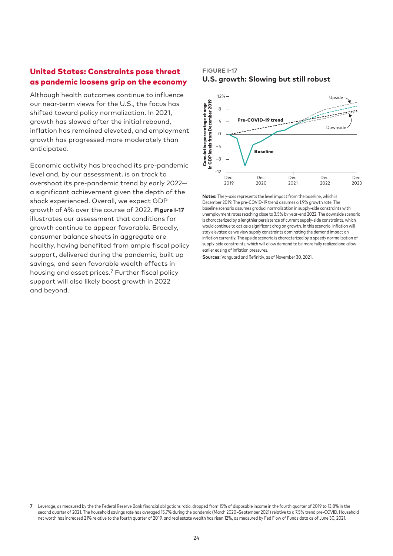# United States: Constraints pose threat as pandemic loosens grip on the economy

Although health outcomes continue to influence our near-term views for the U.S., the focus has shifted toward policy normalization. In 2021, growth has slowed after the initial rebound, inflation has remained elevated, and employment growth has progressed more moderately than anticipated.

Economic activity has breached its pre-pandemic level and, by our assessment, is on track to overshoot its pre-pandemic trend by early 2022 a significant achievement given the depth of the shock experienced. Overall, we expect GDP growth of 4% over the course of 2022. **Figure I-17** illustrates our assessment that conditions for growth continue to appear favorable. Broadly, consumer balance sheets in aggregate are healthy, having benefited from ample fiscal policy support, delivered during the pandemic, built up savings, and seen favorable wealth effects in housing and asset prices.7 Further fiscal policy support will also likely boost growth in 2022 and beyond.

# **FIGURE I-17 U.S. growth: Slowing but still robust**



**Notes:** The y-axis represents the level impact from the baseline, which is December 2019. The pre-COVID-19 trend assumes a 1.9% growth rate. The baseline scenario assumes gradual normalization in supply-side constraints with unemployment rates reaching close to 3.5% by year-end 2022. The downside scenario is characterized by a lengthier persistence of current supply-side constraints, which would continue to act as a significant drag on growth. In this scenario, inflation will stay elevated as we view supply constraints dominating the demand impact on inflation currently. The upside scenario is characterized by a speedy normalization of supply-side constraints, which will allow demand to be more fully realized and allow earlier easing of inflation pressures.

**Sources:** Vanguard and Refinitiv, as of November 30, 2021.

**<sup>7</sup>** Leverage, as measured by the the Federal Reserve Bank financial obligations ratio, dropped from 15% of disposable income in the fourth quarter of 2019 to 13.8% in the second quarter of 2021. The household savings rate has averaged 15.7% during the pandemic (March 2020–September 2021) relative to a 7.5% trend pre-COVID. Household net worth has increased 21% relative to the fourth quarter of 2019, and real estate wealth has risen 12%, as measured by Fed Flow of Funds data as of June 30, 2021.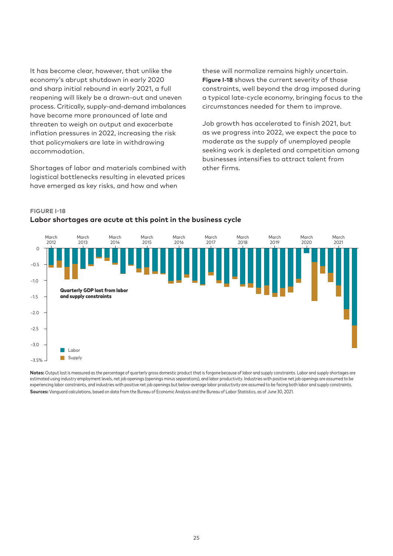It has become clear, however, that unlike the economy's abrupt shutdown in early 2020 and sharp initial rebound in early 2021, a full reopening will likely be a drawn-out and uneven process. Critically, supply-and-demand imbalances have become more pronounced of late and threaten to weigh on output and exacerbate inflation pressures in 2022, increasing the risk that policymakers are late in withdrawing accommodation.

Shortages of labor and materials combined with logistical bottlenecks resulting in elevated prices have emerged as key risks, and how and when

these will normalize remains highly uncertain. **Figure I-18** shows the current severity of those constraints, well beyond the drag imposed during a typical late-cycle economy, bringing focus to the circumstances needed for them to improve.

Job growth has accelerated to finish 2021, but as we progress into 2022, we expect the pace to moderate as the supply of unemployed people seeking work is depleted and competition among businesses intensifies to attract talent from other firms.



#### **FIGURE I-18 Labor shortages are acute at this point in the business cycle**

Notes: Output lost is measured as the percentage of quarterly gross domestic product that is forgone because of labor and supply constraints. Labor and supply shortages are estimated using industry employment levels, net job openings (openings minus separations), and labor productivity. Industries with positive net job openings are assumed to be experiencing labor constraints, and industries with positive net job openings but below-average labor productivity are assumed to be facing both labor and supply constraints. **Sources:** Vanguard calculations, based on data from the Bureau of Economic Analysis and the Bureau of Labor Statistics, as of June 30, 2021.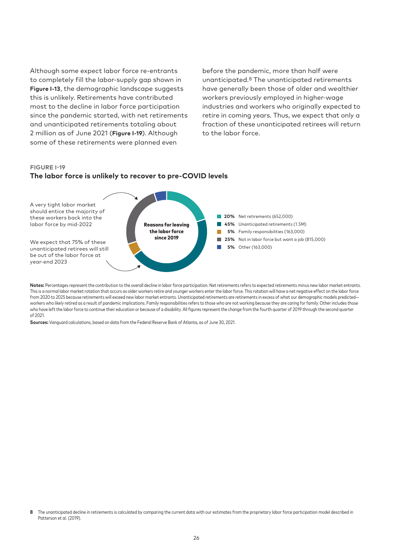Although some expect labor force re-entrants to completely fill the labor-supply gap shown in **Figure I-13**, the demographic landscape suggests this is unlikely. Retirements have contributed most to the decline in labor force participation since the pandemic started, with net retirements and unanticipated retirements totaling about 2 million as of June 2021 (**Figure I-19**). Although some of these retirements were planned even

before the pandemic, more than half were unanticipated.8 The unanticipated retirements have generally been those of older and wealthier workers previously employed in higher-wage industries and workers who originally expected to retire in coming years. Thus, we expect that only a fraction of these unanticipated retirees will return to the labor force.

#### **FIGURE I-19**





**Notes:** Percentages represent the contribution to the overall decline in labor force participation. Net retirements refers to expected retirements minus new labor market entrants. This is a normal labor market rotation that occurs as older workers retire and younger workers enter the labor force. This rotation will have a net negative effect on the labor force from 2020 to 2025 because retirements will exceed new labor market entrants. Unanticipated retirements are retirements in excess of what our demographic models predicted workers who likely retired as a result of pandemic implications. Family responsibilities refers to those who are not working because they are caring for family. Other includes those who have left the labor force to continue their education or because of a disability. All figures represent the change from the fourth quarter of 2019 through the second quarter of 2021.

**Sources:** Vanguard calculations, based on data from the Federal Reserve Bank of Atlanta, as of June 30, 2021.

**<sup>8</sup>** The unanticipated decline in retirements is calculated by comparing the current data with our estimates from the proprietary labor force participation model described in Patterson et al. (2019).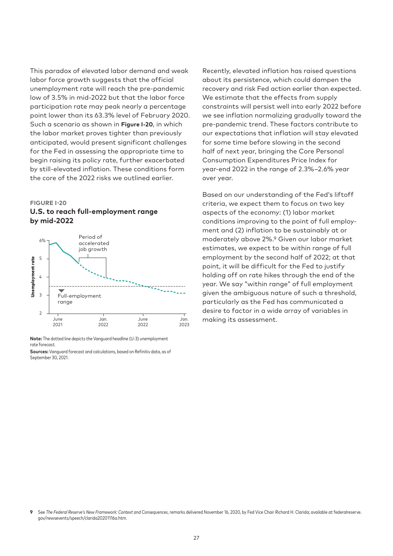This paradox of elevated labor demand and weak labor force growth suggests that the official unemployment rate will reach the pre-pandemic low of 3.5% in mid-2022 but that the labor force participation rate may peak nearly a percentage point lower than its 63.3% level of February 2020. Such a scenario as shown in **Figure I-20**, in which the labor market proves tighter than previously anticipated, would present significant challenges for the Fed in assessing the appropriate time to begin raising its policy rate, further exacerbated by still-elevated inflation. These conditions form the core of the 2022 risks we outlined earlier.

#### **FIGURE I-20**

#### **U.S. to reach full-employment range by mid-2022**



**Note:** The dotted line depicts the Vanguard headline (U-3) unemployment rate forecast.

**Sources:** Vanguard forecast and calculations, based on Refinitiv data, as of September 30, 2021.

Recently, elevated inflation has raised questions about its persistence, which could dampen the recovery and risk Fed action earlier than expected. We estimate that the effects from supply constraints will persist well into early 2022 before we see inflation normalizing gradually toward the pre-pandemic trend. These factors contribute to our expectations that inflation will stay elevated for some time before slowing in the second half of next year, bringing the Core Personal Consumption Expenditures Price Index for year-end 2022 in the range of 2.3%–2.6% year over year.

Based on our understanding of the Fed's liftoff criteria, we expect them to focus on two key aspects of the economy: (1) labor market conditions improving to the point of full employment and (2) inflation to be sustainably at or moderately above 2%.9 Given our labor market estimates, we expect to be within range of full employment by the second half of 2022; at that point, it will be difficult for the Fed to justify holding off on rate hikes through the end of the year. We say "within range" of full employment given the ambiguous nature of such a threshold, particularly as the Fed has communicated a desire to factor in a wide array of variables in making its assessment.

**<sup>9</sup>** See *The Federal Reserve's New Framework: Context and Consequences*, remarks delivered November 16, 2020, by Fed Vice Chair Richard H. Clarida; available at federalreserve. gov/newsevents/speech/clarida20201116a.htm.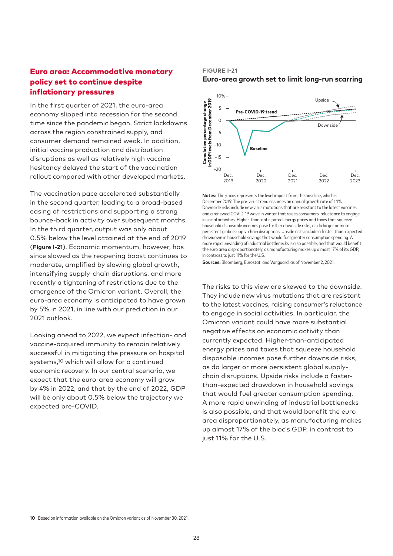# Euro area: Accommodative monetary policy set to continue despite inflationary pressures

In the first quarter of 2021, the euro-area economy slipped into recession for the second time since the pandemic began. Strict lockdowns across the region constrained supply, and consumer demand remained weak. In addition, initial vaccine production and distribution disruptions as well as relatively high vaccine hesitancy delayed the start of the vaccination rollout compared with other developed markets.

The vaccination pace accelerated substantially in the second quarter, leading to a broad-based easing of restrictions and supporting a strong bounce-back in activity over subsequent months. In the third quarter, output was only about 0.5% below the level attained at the end of 2019 (**Figure I-21**). Economic momentum, however, has since slowed as the reopening boost continues to moderate, amplified by slowing global growth, intensifying supply-chain disruptions, and more recently a tightening of restrictions due to the emergence of the Omicron variant. Overall, the euro-area economy is anticipated to have grown by 5% in 2021, in line with our prediction in our 2021 outlook.

Looking ahead to 2022, we expect infection- and vaccine-acquired immunity to remain relatively successful in mitigating the pressure on hospital systems,10 which will allow for a continued economic recovery. In our central scenario, we expect that the euro-area economy will grow by 4% in 2022, and that by the end of 2022, GDP will be only about 0.5% below the trajectory we expected pre-COVID.

#### **FIGURE I-21 Euro-area growth set to limit long-run scarring**



**Notes:** The y-axis represents the level impact from the baseline, which is December 2019. The pre-virus trend assumes an annual growth rate of 1.1%. Downside risks include new virus mutations that are resistant to the latest vaccines and a renewed COVID-19 wave in winter that raises consumers' reluctance to engage in social activities. Higher-than-anticipated energy prices and taxes that squeeze household disposable incomes pose further downside risks, as do larger or more persistent global supply-chain disruptions. Upside risks include a faster-than-expected drawdown in household savings that would fuel greater consumption spending. A more rapid unwinding of industrial bottlenecks is also possible, and that would benefit the euro area disproportionately, as manufacturing makes up almost 17% of its GDP, in contrast to just 11% for the U.S.

**Sources:** Bloomberg, Eurostat, and Vanguard, as of November 2, 2021.

The risks to this view are skewed to the downside. They include new virus mutations that are resistant to the latest vaccines, raising consumer's reluctance to engage in social activities. In particular, the Omicron variant could have more substantial negative effects on economic activity than currently expected. Higher-than-anticipated energy prices and taxes that squeeze household disposable incomes pose further downside risks, as do larger or more persistent global supplychain disruptions. Upside risks include a fasterthan-expected drawdown in household savings that would fuel greater consumption spending. A more rapid unwinding of industrial bottlenecks is also possible, and that would benefit the euro area disproportionately, as manufacturing makes up almost 17% of the bloc's GDP, in contrast to just 11% for the U.S.

**10** Based on information available on the Omicron variant as of November 30, 2021.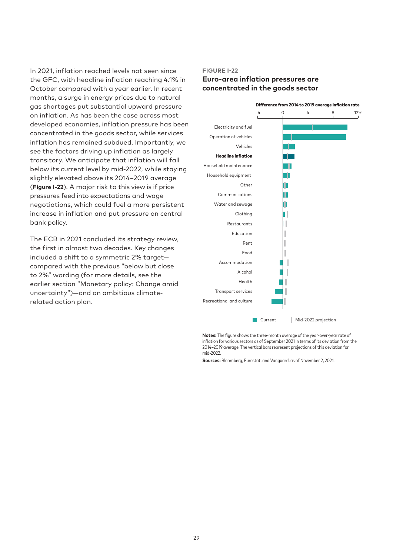In 2021, inflation reached levels not seen since the GFC, with headline inflation reaching 4.1% in October compared with a year earlier. In recent months, a surge in energy prices due to natural gas shortages put substantial upward pressure on inflation. As has been the case across most developed economies, inflation pressure has been concentrated in the goods sector, while services inflation has remained subdued. Importantly, we see the factors driving up inflation as largely transitory. We anticipate that inflation will fall below its current level by mid-2022, while staying slightly elevated above its 2014–2019 average (**Figure I-22**). A major risk to this view is if price pressures feed into expectations and wage negotiations, which could fuel a more persistent increase in inflation and put pressure on central bank policy.

The ECB in 2021 concluded its strategy review, the first in almost two decades. Key changes included a shift to a symmetric 2% target compared with the previous "below but close to 2%" wording (for more details, see the earlier section "Monetary policy: Change amid uncertainty")—and an ambitious climaterelated action plan.

#### **FIGURE I-22**

# **Euro-area inflation pressures are concentrated in the goods sector**



**Notes:** The figure shows the three-month average of the year-over-year rate of inflation for various sectors as of September 2021 in terms of its deviation from the 2014–2019 average. The vertical bars represent projections of this deviation for mid-2022.

**Sources:** Bloomberg, Eurostat, and Vanguard, as of November 2, 2021.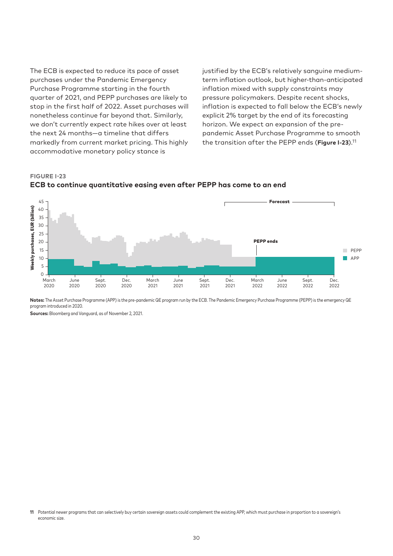The ECB is expected to reduce its pace of asset purchases under the Pandemic Emergency Purchase Programme starting in the fourth quarter of 2021, and PEPP purchases are likely to stop in the first half of 2022. Asset purchases will nonetheless continue far beyond that. Similarly, we don't currently expect rate hikes over at least the next 24 months—a timeline that differs markedly from current market pricing. This highly accommodative monetary policy stance is

justified by the ECB's relatively sanguine mediumterm inflation outlook, but higher-than-anticipated inflation mixed with supply constraints may pressure policymakers. Despite recent shocks, inflation is expected to fall below the ECB's newly explicit 2% target by the end of its forecasting horizon. We expect an expansion of the prepandemic Asset Purchase Programme to smooth the transition after the PEPP ends (**Figure I-23**).11

**FIGURE I-23 ECB to continue quantitative easing even after PEPP has come to an end**



**Notes:** The Asset Purchase Programme (APP) is the pre-pandemic QE program run by the ECB. The Pandemic Emergency Purchase Programme (PEPP) is the emergency QE program introduced in 2020.

**Sources:** Bloomberg and Vanguard, as of November 2, 2021.

**<sup>11</sup>** Potential newer programs that can selectively buy certain sovereign assets could complement the existing APP, which must purchase in proportion to a sovereign's economic size.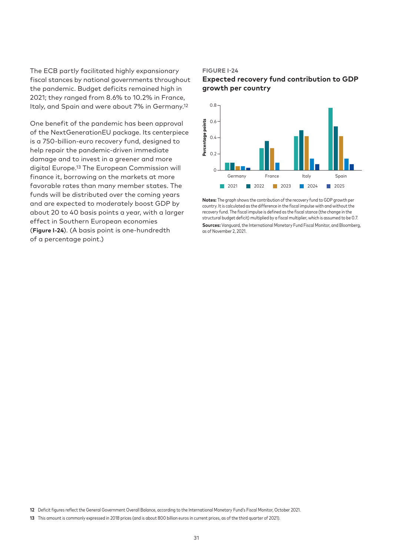The ECB partly facilitated highly expansionary fiscal stances by national governments throughout the pandemic. Budget deficits remained high in 2021; they ranged from 8.6% to 10.2% in France, Italy, and Spain and were about 7% in Germany.12

One benefit of the pandemic has been approval of the NextGenerationEU package. Its centerpiece is a 750-billion-euro recovery fund, designed to help repair the pandemic-driven immediate damage and to invest in a greener and more digital Europe.13 The European Commission will finance it, borrowing on the markets at more favorable rates than many member states. The funds will be distributed over the coming years and are expected to moderately boost GDP by about 20 to 40 basis points a year, with a larger effect in Southern European economies (**Figure I-24**). (A basis point is one-hundredth of a percentage point.)

#### **FIGURE I-24**

# **Expected recovery fund contribution to GDP growth per country**



**Notes:** The graph shows the contribution of the recovery fund to GDP growth per country. It is calculated as the difference in the fiscal impulse with and without the recovery fund. The fiscal impulse is defined as the fiscal stance (the change in the structural budget deficit) multiplied by a fiscal multiplier, which is assumed to be 0.7. **Sources:** Vanguard, the International Monetary Fund Fiscal Monitor, and Bloomberg, as of November 2, 2021.

**12** Deficit figures reflect the General Government Overall Balance, according to the International Monetary Fund's Fiscal Monitor, October 2021.

**<sup>13</sup>** This amount is commonly expressed in 2018 prices (and is about 800 billion euros in current prices, as of the third quarter of 2021).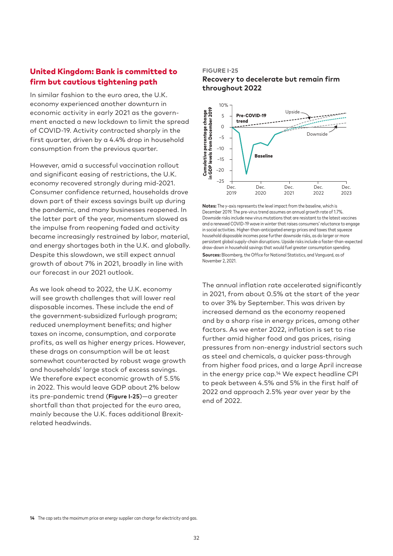# United Kingdom: Bank is committed to firm but cautious tightening path

In similar fashion to the euro area, the U.K. economy experienced another downturn in economic activity in early 2021 as the government enacted a new lockdown to limit the spread of COVID-19. Activity contracted sharply in the first quarter, driven by a 4.4% drop in household consumption from the previous quarter.

However, amid a successful vaccination rollout and significant easing of restrictions, the U.K. economy recovered strongly during mid-2021. Consumer confidence returned, households drove down part of their excess savings built up during the pandemic, and many businesses reopened. In the latter part of the year, momentum slowed as the impulse from reopening faded and activity became increasingly restrained by labor, material, and energy shortages both in the U.K. and globally. Despite this slowdown, we still expect annual growth of about 7% in 2021, broadly in line with our forecast in our 2021 outlook.

As we look ahead to 2022, the U.K. economy will see growth challenges that will lower real disposable incomes. These include the end of the government-subsidized furlough program; reduced unemployment benefits; and higher taxes on income, consumption, and corporate profits, as well as higher energy prices. However, these drags on consumption will be at least somewhat counteracted by robust wage growth and households' large stock of excess savings. We therefore expect economic growth of 5.5% in 2022. This would leave GDP about 2% below its pre-pandemic trend (**Figure I-25**)—a greater shortfall than that projected for the euro area, mainly because the U.K. faces additional Brexitrelated headwinds.

#### **FIGURE I-25**

#### **Recovery to decelerate but remain firm throughout 2022**



**Notes:** The y-axis represents the level impact from the baseline, which is December 2019. The pre-virus trend assumes an annual growth rate of 1.7%. Downside risks include new virus mutations that are resistant to the latest vaccines and a renewed COVID-19 wave in winter that raises consumers' reluctance to engage in social activities. Higher-than-anticipated energy prices and taxes that squeeze household disposable incomes pose further downside risks, as do larger or more persistent global supply-chain disruptions. Upside risks include a faster-than-expected draw-down in household savings that would fuel greater consumption spending. **Sources:** Bloomberg, the Office for National Statistics, and Vanguard, as of November 2, 2021.

The annual inflation rate accelerated significantly in 2021, from about 0.5% at the start of the year to over 3% by September. This was driven by increased demand as the economy reopened and by a sharp rise in energy prices, among other factors. As we enter 2022, inflation is set to rise further amid higher food and gas prices, rising pressures from non-energy industrial sectors such as steel and chemicals, a quicker pass-through from higher food prices, and a large April increase in the energy price cap.14 We expect headline CPI to peak between 4.5% and 5% in the first half of 2022 and approach 2.5% year over year by the end of 2022.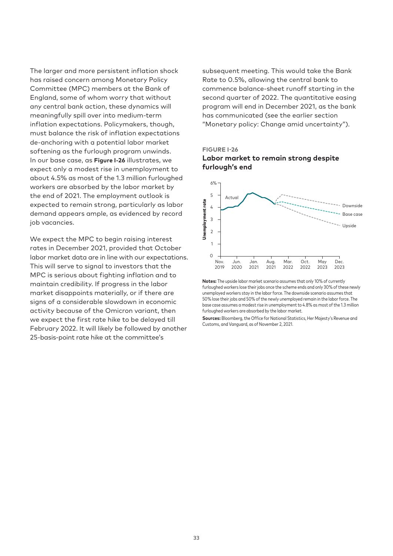The larger and more persistent inflation shock has raised concern among Monetary Policy Committee (MPC) members at the Bank of England, some of whom worry that without any central bank action, these dynamics will meaningfully spill over into medium-term inflation expectations. Policymakers, though, must balance the risk of inflation expectations de-anchoring with a potential labor market softening as the furlough program unwinds. In our base case, as **Figure I-26** illustrates, we expect only a modest rise in unemployment to about 4.5% as most of the 1.3 million furloughed workers are absorbed by the labor market by the end of 2021. The employment outlook is expected to remain strong, particularly as labor demand appears ample, as evidenced by record job vacancies.

We expect the MPC to begin raising interest rates in December 2021, provided that October labor market data are in line with our expectations. This will serve to signal to investors that the MPC is serious about fighting inflation and to maintain credibility. If progress in the labor market disappoints materially, or if there are signs of a considerable slowdown in economic activity because of the Omicron variant, then we expect the first rate hike to be delayed till February 2022. It will likely be followed by another 25-basis-point rate hike at the committee's

subsequent meeting. This would take the Bank Rate to 0.5%, allowing the central bank to commence balance-sheet runoff starting in the second quarter of 2022. The quantitative easing program will end in December 2021, as the bank has communicated (see the earlier section "Monetary policy: Change amid uncertainty").







**Notes:** The upside labor market scenario assumes that only 10% of currently furloughed workers lose their jobs once the scheme ends and only 30% of these newly unemployed workers stay in the labor force. The downside scenario assumes that 50% lose their jobs and 50% of the newly unemployed remain in the labor force. The base case assumes a modest rise in unemployment to 4.8% as most of the 1.3 million furloughed workers are absorbed by the labor market.

**Sources:** Bloomberg, the Office for National Statistics, Her Majesty's Revenue and Customs, and Vanguard, as of November 2, 2021.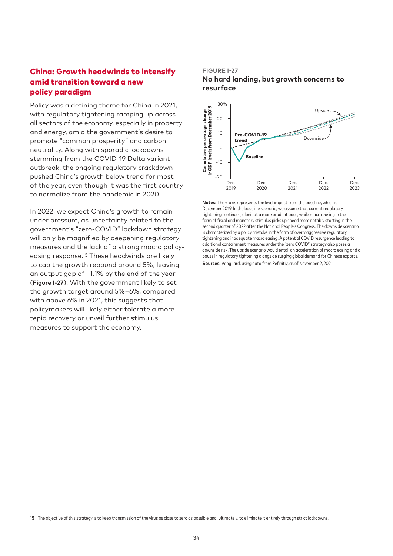# China: Growth headwinds to intensify amid transition toward a new policy paradigm

Policy was a defining theme for China in 2021, with regulatory tightening ramping up across all sectors of the economy, especially in property and energy, amid the government's desire to promote "common prosperity" and carbon neutrality. Along with sporadic lockdowns stemming from the COVID-19 Delta variant outbreak, the ongoing regulatory crackdown pushed China's growth below trend for most of the year, even though it was the first country to normalize from the pandemic in 2020.

In 2022, we expect China's growth to remain under pressure, as uncertainty related to the government's "zero-COVID" lockdown strategy will only be magnified by deepening regulatory measures and the lack of a strong macro policyeasing response.15 These headwinds are likely to cap the growth rebound around 5%, leaving an output gap of –1.1% by the end of the year (**Figure I-27**). With the government likely to set the growth target around 5%–6%, compared with above 6% in 2021, this suggests that policymakers will likely either tolerate a more tepid recovery or unveil further stimulus measures to support the economy.

#### **FIGURE I-27**

**No hard landing, but growth concerns to resurface** 



**Notes:** The y-axis represents the level impact from the baseline, which is December 2019. In the baseline scenario, we assume that current regulatory tightening continues, albeit at a more prudent pace, while macro easing in the form of fiscal and monetary stimulus picks up speed more notably starting in the second quarter of 2022 after the National People's Congress. The downside scenario is characterized by a policy mistake in the form of overly aggressive regulatory tightening and inadequate macro easing. A potential COVID resurgence leading to additional containment measures under the "zero COVID" strategy also poses a downside risk. The upside scenario would entail an acceleration of macro easing and a pause in regulatory tightening alongside surging global demand for Chinese exports. **Sources:** Vanguard, using data from Refinitiv, as of November 2, 2021.

**15** The objective of this strategy is to keep transmission of the virus as close to zero as possible and, ultimately, to eliminate it entirely through strict lockdowns.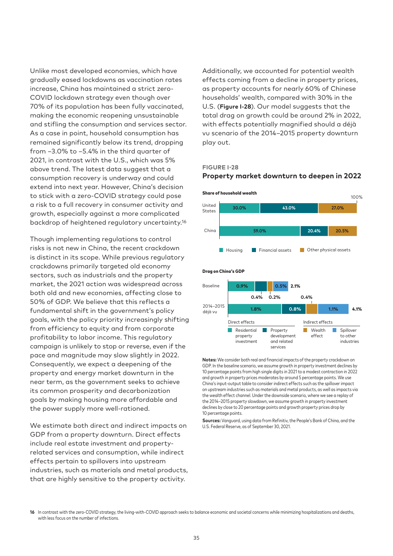Unlike most developed economies, which have gradually eased lockdowns as vaccination rates increase, China has maintained a strict zero-COVID lockdown strategy even though over 70% of its population has been fully vaccinated, making the economic reopening unsustainable and stifling the consumption and services sector. As a case in point, household consumption has remained significantly below its trend, dropping from –3.0% to –5.4% in the third quarter of 2021, in contrast with the U.S., which was 5% above trend. The latest data suggest that a consumption recovery is underway and could extend into next year. However, China's decision to stick with a zero-COVID strategy could pose a risk to a full recovery in consumer activity and growth, especially against a more complicated backdrop of heightened regulatory uncertainty.16

Though implementing regulations to control risks is not new in China, the recent crackdown is distinct in its scope. While previous regulatory crackdowns primarily targeted old economy sectors, such as industrials and the property market, the 2021 action was widespread across both old and new economies, affecting close to 50% of GDP. We believe that this reflects a fundamental shift in the government's policy goals, with the policy priority increasingly shifting from efficiency to equity and from corporate profitability to labor income. This regulatory campaign is unlikely to stop or reverse, even if the pace and magnitude may slow slightly in 2022. Consequently, we expect a deepening of the property and energy market downturn in the near term, as the government seeks to achieve its common prosperity and decarbonization goals by making housing more affordable and the power supply more well-rationed.

We estimate both direct and indirect impacts on GDP from a property downturn. Direct effects include real estate investment and propertyrelated services and consumption, while indirect effects pertain to spillovers into upstream industries, such as materials and metal products, that are highly sensitive to the property activity.

Additionally, we accounted for potential wealth effects coming from a decline in property prices, as property accounts for nearly 60% of Chinese households' wealth, compared with 30% in the U.S. (**Figure I-28**). Our model suggests that the total drag on growth could be around 2% in 2022, with effects potentially magnified should a déjà vu scenario of the 2014–2015 property downturn play out.

#### **FIGURE I-28**

#### **Property market downturn to deepen in 2022**



**Notes:** We consider both real and financial impacts of the property crackdown on GDP. In the baseline scenario, we assume growth in property investment declines by 10 percentage points from high single digits in 2021 to a modest contraction in 2022 and growth in property prices moderates by around 5 percentage points. We use China's input-output table to consider indirect effects such as the spillover impact on upstream industries such as materials and metal products, as well as impacts via the wealth effect channel. Under the downside scenario, where we see a replay of the 2014–2015 property slowdown, we assume growth in property investment declines by close to 20 percentage points and growth property prices drop by 10 percentage points.

**Sources:** Vanguard, using data from Refinitiv, the People's Bank of China, and the U.S. Federal Reserve, as of September 30, 2021.

**<sup>16</sup>** In contrast with the zero-COVID strategy, the living-with-COVID approach seeks to balance economic and societal concerns while minimizing hospitalizations and deaths. with less focus on the number of infections.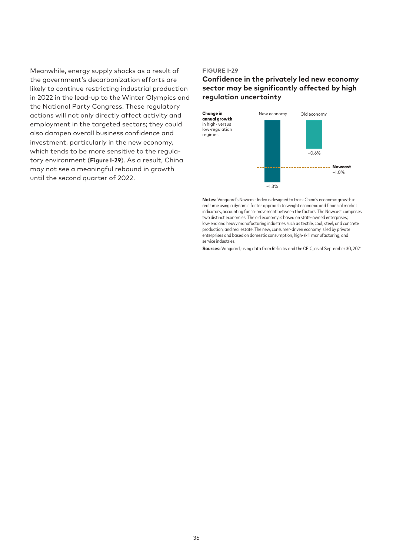Meanwhile, energy supply shocks as a result of the government's decarbonization efforts are likely to continue restricting industrial production in 2022 in the lead-up to the Winter Olympics and the National Party Congress. These regulatory actions will not only directly affect activity and employment in the targeted sectors; they could also dampen overall business confidence and investment, particularly in the new economy, which tends to be more sensitive to the regulatory environment (**Figure I-29**). As a result, China may not see a meaningful rebound in growth until the second quarter of 2022.

#### **FIGURE I-29**

# **Confidence in the privately led new economy sector may be significantly affected by high regulation uncertainty**



**Notes:** Vanguard's Nowcast Index is designed to track China's economic growth in real time using a dynamic factor approach to weight economic and financial market indicators, accounting for co-movement between the factors. The Nowcast comprises two distinct economies. The old economy is based on state-owned enterprises; low-end and heavy manufacturing industries such as textile, coal, steel, and concrete production; and real estate. The new, consumer-driven economy is led by private enterprises and based on domestic consumption, high-skill manufacturing, and service industries.

**Sources:** Vanguard, using data from Refinitiv and the CEIC, as of September 30, 2021.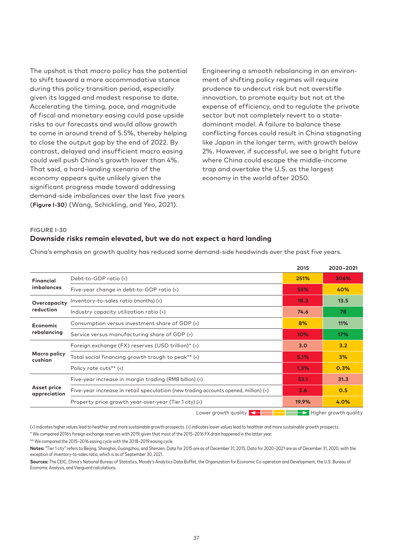The upshot is that macro policy has the potential to shift toward a more accommodative stance during this policy transition period, especially given its lagged and modest response to date. Accelerating the timing, pace, and magnitude of fiscal and monetary easing could pose upside risks to our forecasts and would allow growth to come in around trend of 5.5%, thereby helping to close the output gap by the end of 2022. By contrast, delayed and insufficient macro easing could well push China's growth lower than 4%. That said, a hard-landing scenario of the economy appears quite unlikely given the significant progress made toward addressing demand-side imbalances over the last five years (**Figure I-30**) (Wang, Schickling, and Yeo, 2021).

Engineering a smooth rebalancing in an environment of shifting policy regimes will require prudence to undercut risk but not overstifle innovation, to promote equity but not at the expense of efficiency, and to regulate the private sector but not completely revert to a statedominant model. A failure to balance these conflicting forces could result in China stagnating like Japan in the longer term, with growth below 2%. However, if successful, we see a bright future where China could escape the middle-income trap and overtake the U.S. as the largest economy in the world after 2050.

# **FIGURE I-30 Downside risks remain elevated, but we do not expect a hard landing**

|                                                                               |                                                                                                                                                                                     | 2015             | 2020-2021                           |
|-------------------------------------------------------------------------------|-------------------------------------------------------------------------------------------------------------------------------------------------------------------------------------|------------------|-------------------------------------|
| <b>Financial</b>                                                              | Debt-to-GDP ratio (<)                                                                                                                                                               | 251%             | 306%                                |
| <i>imbalances</i>                                                             | Five-year change in debt-to-GDP ratio (<)                                                                                                                                           | 55%              | 40%                                 |
| Overcapacity                                                                  | Inventory-to-sales ratio (months) (<)                                                                                                                                               | 18.3             | 13.5                                |
| reduction                                                                     | Industry capacity utilization ratio (>)                                                                                                                                             | 74.6             | 78                                  |
| <b>Economic</b>                                                               | Consumption versus investment share of GDP (>)                                                                                                                                      | 8%               | 11%                                 |
| rebalancing                                                                   | Service versus manufacturing share of GDP (>)                                                                                                                                       |                  | 17%                                 |
|                                                                               | Foreign exchange (FX) reserves (USD trillion)* (>)                                                                                                                                  | 3.0 <sub>2</sub> | 3.2                                 |
| Macro policy<br>Total social financing growth trough to peak** (<)<br>cushion |                                                                                                                                                                                     | 5.1%             | 3%                                  |
|                                                                               | Policy rate cuts <sup>**</sup> (<)<br>Five-year increase in margin trading (RMB billion) (<)<br>Five-year increase in retail speculation (new trading accounts opened, million) (<) | 1.3%             | 0.3%                                |
|                                                                               |                                                                                                                                                                                     | 53.1             | 31.3                                |
| Asset price<br>appreciation                                                   |                                                                                                                                                                                     |                  | 0.5                                 |
|                                                                               | Property price growth year-over-year (Tier 1 city) (<)                                                                                                                              | 19.9%            | 4.0%                                |
|                                                                               | Lower growth quality $\left\langle \right\rangle$                                                                                                                                   |                  | $\rightarrow$ Higher growth quality |

China's emphasis on growth quality has reduced some demand-side headwinds over the past five years.

(>) indicates higher values lead to healthier and more sustainable growth prospects. (<) indicates lower values lead to healthier and more sustainable growth prospects.

\* We compared 2016's foreign exchange reserves with 2019, given that most of the 2015–2016 FX drain happened in the latter year.

\*\* We compared the 2015–2016 easing cycle with the 2018–2019 easing cycle.

**Notes:** "Tier 1 city" refers to Beijing, Shanghai, Guangzhou, and Shenzen. Data for 2015 are as of December 31, 2015. Data for 2020–2021 are as of December 31, 2020, with the exception of inventory-to-sales ratio, which is as of September 30, 2021.

**Sources:** The CEIC, China's National Bureau of Statistics, Moody's Analytics Data Buffet, the Organization for Economic Co-operation and Development, the U.S. Bureau of Economic Analysis, and Vanguard calculations.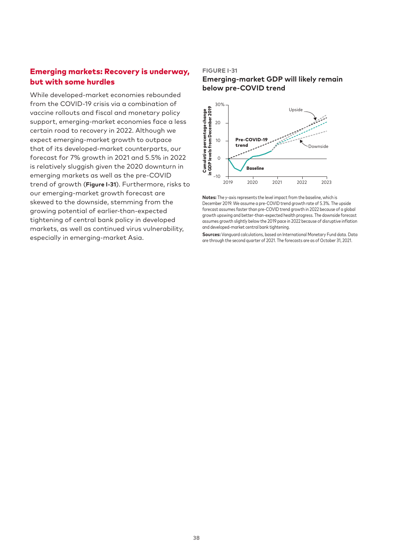# Emerging markets: Recovery is underway, but with some hurdles

While developed-market economies rebounded from the COVID-19 crisis via a combination of vaccine rollouts and fiscal and monetary policy support, emerging-market economies face a less certain road to recovery in 2022. Although we expect emerging-market growth to outpace that of its developed-market counterparts, our forecast for 7% growth in 2021 and 5.5% in 2022 is relatively sluggish given the 2020 downturn in emerging markets as well as the pre-COVID trend of growth (**Figure I-31**). Furthermore, risks to our emerging-market growth forecast are skewed to the downside, stemming from the growing potential of earlier-than-expected tightening of central bank policy in developed markets, as well as continued virus vulnerability, especially in emerging-market Asia.

#### **FIGURE I-31**

### **Emerging-market GDP will likely remain below pre-COVID trend**



**Notes:** The y-axis represents the level impact from the baseline, which is December 2019. We assume a pre-COVID trend growth rate of 5.3%. The upside forecast assumes faster than pre-COVID trend growth in 2022 because of a global growth upswing and better-than-expected health progress. The downside forecast assumes growth slightly below the 2019 pace in 2022 because of disruptive inflation and developed-market central bank tightening.

**Sources:** Vanguard calculations, based on International Monetary Fund data. Data are through the second quarter of 2021. The forecasts are as of October 31, 2021.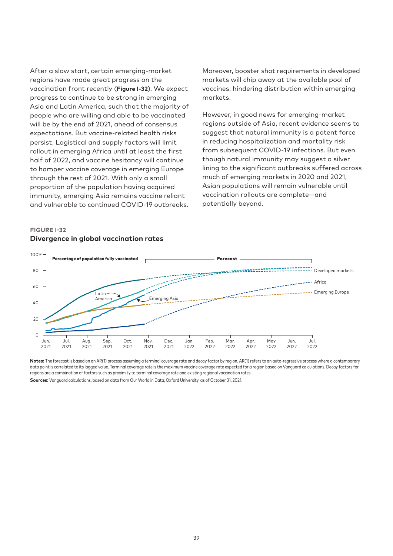After a slow start, certain emerging-market regions have made great progress on the vaccination front recently (**Figure I-32**). We expect progress to continue to be strong in emerging Asia and Latin America, such that the majority of people who are willing and able to be vaccinated will be by the end of 2021, ahead of consensus expectations. But vaccine-related health risks persist. Logistical and supply factors will limit rollout in emerging Africa until at least the first half of 2022, and vaccine hesitancy will continue to hamper vaccine coverage in emerging Europe through the rest of 2021. With only a small proportion of the population having acquired immunity, emerging Asia remains vaccine reliant and vulnerable to continued COVID-19 outbreaks.

# Moreover, booster shot requirements in developed markets will chip away at the available pool of vaccines, hindering distribution within emerging markets.

However, in good news for emerging-market regions outside of Asia, recent evidence seems to suggest that natural immunity is a potent force in reducing hospitalization and mortality risk from subsequent COVID-19 infections. But even though natural immunity may suggest a silver lining to the significant outbreaks suffered across much of emerging markets in 2020 and 2021, Asian populations will remain vulnerable until vaccination rollouts are complete—and potentially beyond.

# **FIGURE I-32 Divergence in global vaccination rates**



**Notes:** The forecast is based on an AR(1) process assuming a terminal coverage rate and decay factor by region. AR(1) refers to an auto-regressive process where a contemporary data point is correlated to its lagged value. Terminal coverage rate is the maximum vaccine coverage rate expected for a region based on Vanguard calculations. Decay factors for regions are a combination of factors such as proximity to terminal coverage rate and existing regional vaccination rates.

**Sources:** Vanguard calculations, based on data from Our World in Data, Oxford University, as of October 31, 2021.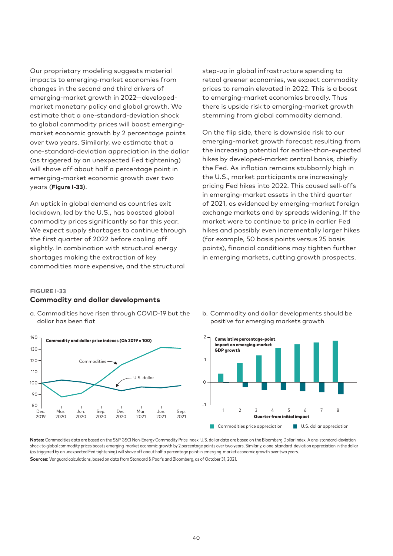Our proprietary modeling suggests material impacts to emerging-market economies from changes in the second and third drivers of emerging-market growth in 2022—developedmarket monetary policy and global growth. We estimate that a one-standard-deviation shock to global commodity prices will boost emergingmarket economic growth by 2 percentage points over two years. Similarly, we estimate that a one-standard-deviation appreciation in the dollar (as triggered by an unexpected Fed tightening) will shave off about half a percentage point in emerging-market economic growth over two years (**Figure I-33**).

An uptick in global demand as countries exit lockdown, led by the U.S., has boosted global commodity prices significantly so far this year. We expect supply shortages to continue through the first quarter of 2022 before cooling off slightly. In combination with structural energy shortages making the extraction of key commodities more expensive, and the structural

step-up in global infrastructure spending to retool greener economies, we expect commodity prices to remain elevated in 2022. This is a boost to emerging-market economies broadly. Thus there is upside risk to emerging-market growth stemming from global commodity demand.

On the flip side, there is downside risk to our emerging-market growth forecast resulting from the increasing potential for earlier-than-expected hikes by developed-market central banks, chiefly the Fed. As inflation remains stubbornly high in the U.S., market participants are increasingly pricing Fed hikes into 2022. This caused sell-offs in emerging-market assets in the third quarter of 2021, as evidenced by emerging-market foreign exchange markets and by spreads widening. If the market were to continue to price in earlier Fed hikes and possibly even incrementally larger hikes (for example, 50 basis points versus 25 basis points), financial conditions may tighten further in emerging markets, cutting growth prospects.

#### **FIGURE I-33**

#### **Commodity and dollar developments**

a. Commodities have risen through COVID-19 but the dollar has been flat



b. Commodity and dollar developments should be positive for emerging markets growth



**Notes:** Commodities data are based on the S&P GSCI Non-Energy Commodity Price Index. U.S. dollar data are based on the Bloomberg Dollar Index. A one-standard-deviation shock to global commodity prices boosts emerging-market economic growth by 2 percentage points over two years. Similarly, a one-standard-deviation appreciation in the dollar (as triggered by an unexpected Fed tightening) will shave off about half a percentage point in emerging-market economic growth over two years. **Sources:** Vanguard calculations, based on data from Standard & Poor's and Bloomberg, as of October 31, 2021.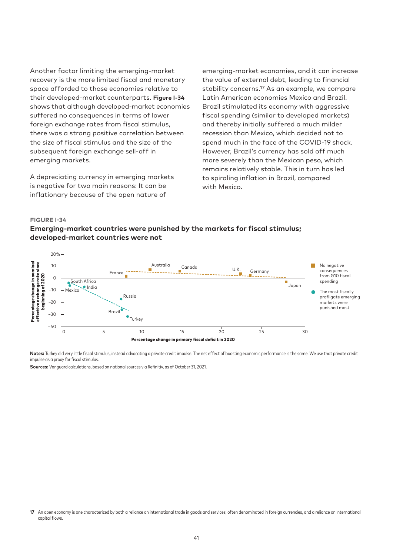Another factor limiting the emerging-market recovery is the more limited fiscal and monetary space afforded to those economies relative to their developed-market counterparts. **Figure I-34** shows that although developed-market economies suffered no consequences in terms of lower foreign exchange rates from fiscal stimulus, there was a strong positive correlation between the size of fiscal stimulus and the size of the subsequent foreign exchange sell-off in emerging markets.

A depreciating currency in emerging markets is negative for two main reasons: It can be inflationary because of the open nature of

emerging-market economies, and it can increase the value of external debt, leading to financial stability concerns.17 As an example, we compare Latin American economies Mexico and Brazil. Brazil stimulated its economy with aggressive fiscal spending (similar to developed markets) and thereby initially suffered a much milder recession than Mexico, which decided not to spend much in the face of the COVID-19 shock. However, Brazil's currency has sold off much more severely than the Mexican peso, which remains relatively stable. This in turn has led to spiraling inflation in Brazil, compared with Mexico.

#### **FIGURE I-34**





**Notes:** Turkey did very little fiscal stimulus, instead advocating a private credit impulse. The net effect of boosting economic performance is the same. We use that private credit impulse as a proxy for fiscal stimulus.

**Sources:** Vanguard calculations, based on national sources via Refinitiv, as of October 31, 2021.

**<sup>17</sup>** An open economy is one characterized by both a reliance on international trade in goods and services, often denominated in foreign currencies, and a reliance on international capital flows.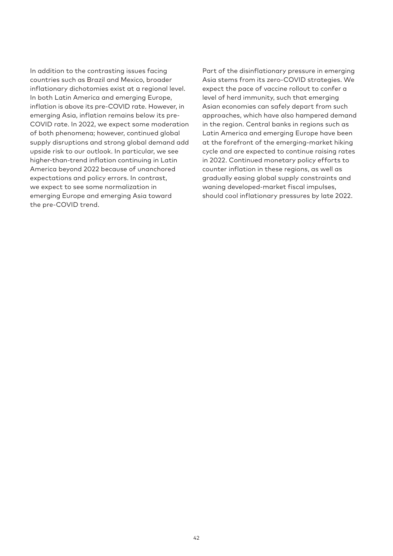In addition to the contrasting issues facing countries such as Brazil and Mexico, broader inflationary dichotomies exist at a regional level. In both Latin America and emerging Europe, inflation is above its pre-COVID rate. However, in emerging Asia, inflation remains below its pre-COVID rate. In 2022, we expect some moderation of both phenomena; however, continued global supply disruptions and strong global demand add upside risk to our outlook. In particular, we see higher-than-trend inflation continuing in Latin America beyond 2022 because of unanchored expectations and policy errors. In contrast, we expect to see some normalization in emerging Europe and emerging Asia toward the pre-COVID trend.

Part of the disinflationary pressure in emerging Asia stems from its zero-COVID strategies. We expect the pace of vaccine rollout to confer a level of herd immunity, such that emerging Asian economies can safely depart from such approaches, which have also hampered demand in the region. Central banks in regions such as Latin America and emerging Europe have been at the forefront of the emerging-market hiking cycle and are expected to continue raising rates in 2022. Continued monetary policy efforts to counter inflation in these regions, as well as gradually easing global supply constraints and waning developed-market fiscal impulses, should cool inflationary pressures by late 2022.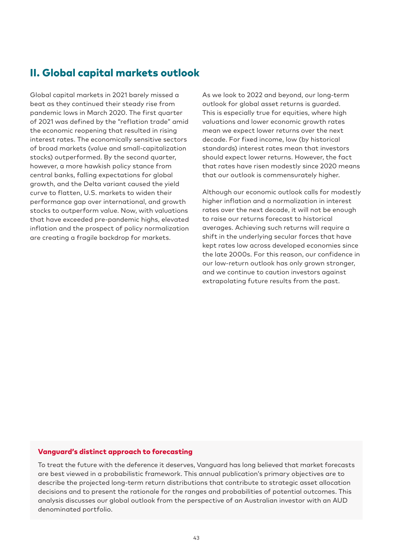# II. Global capital markets outlook

Global capital markets in 2021 barely missed a beat as they continued their steady rise from pandemic lows in March 2020. The first quarter of 2021 was defined by the "reflation trade" amid the economic reopening that resulted in rising interest rates. The economically sensitive sectors of broad markets (value and small-capitalization stocks) outperformed. By the second quarter, however, a more hawkish policy stance from central banks, falling expectations for global growth, and the Delta variant caused the yield curve to flatten, U.S. markets to widen their performance gap over international, and growth stocks to outperform value. Now, with valuations that have exceeded pre-pandemic highs, elevated inflation and the prospect of policy normalization are creating a fragile backdrop for markets.

As we look to 2022 and beyond, our long-term outlook for global asset returns is guarded. This is especially true for equities, where high valuations and lower economic growth rates mean we expect lower returns over the next decade. For fixed income, low (by historical standards) interest rates mean that investors should expect lower returns. However, the fact that rates have risen modestly since 2020 means that our outlook is commensurately higher.

Although our economic outlook calls for modestly higher inflation and a normalization in interest rates over the next decade, it will not be enough to raise our returns forecast to historical averages. Achieving such returns will require a shift in the underlying secular forces that have kept rates low across developed economies since the late 2000s. For this reason, our confidence in our low-return outlook has only grown stronger, and we continue to caution investors against extrapolating future results from the past.

### Vanguard's distinct approach to forecasting

To treat the future with the deference it deserves, Vanguard has long believed that market forecasts are best viewed in a probabilistic framework. This annual publication's primary objectives are to describe the projected long-term return distributions that contribute to strategic asset allocation decisions and to present the rationale for the ranges and probabilities of potential outcomes. This analysis discusses our global outlook from the perspective of an Australian investor with an AUD denominated portfolio.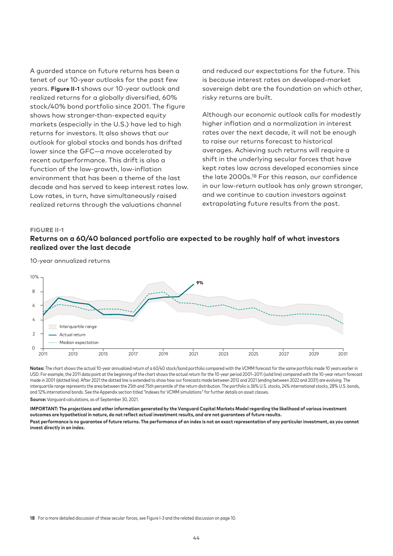A guarded stance on future returns has been a tenet of our 10-year outlooks for the past few years. **Figure II-1** shows our 10-year outlook and realized returns for a globally diversified, 60% stock/40% bond portfolio since 2001. The figure shows how stronger-than-expected equity markets (especially in the U.S.) have led to high returns for investors. It also shows that our outlook for global stocks and bonds has drifted lower since the GFC—a move accelerated by recent outperformance. This drift is also a function of the low-growth, low-inflation environment that has been a theme of the last decade and has served to keep interest rates low. Low rates, in turn, have simultaneously raised realized returns through the valuations channel

and reduced our expectations for the future. This is because interest rates on developed-market sovereign debt are the foundation on which other, risky returns are built.

Although our economic outlook calls for modestly higher inflation and a normalization in interest rates over the next decade, it will not be enough to raise our returns forecast to historical averages. Achieving such returns will require a shift in the underlying secular forces that have kept rates low across developed economies since the late 2000s.18 For this reason, our confidence in our low-return outlook has only grown stronger, and we continue to caution investors against extrapolating future results from the past.

#### **FIGURE II-1**

# **Returns on a 60/40 balanced portfolio are expected to be roughly half of what investors realized over the last decade**



10-year annualized returns

**Notes:** The chart shows the actual 10-year annualized return of a 60/40 stock/bond portfolio compared with the VCMM forecast for the same portfolio made 10 years earlier in USD. For example, the 2011 data point at the beginning of the chart shows the actual return for the 10-year period 2001–2011 (solid line) compared with the 10-year return forecast made in 2001 (dotted line). After 2021 the dotted line is extended to show how our forecasts made between 2012 and 2021 (ending between 2022 and 2031) are evolving. The interquartile range represents the area between the 25th and 75th percentile of the return distribution. The portfolio is 36% U.S. stocks, 24% international stocks, 28% U.S. bonds, and 12% international bonds. See the Appendix section titled "Indexes for VCMM simulations" for further details on asset classes. **Source:** Vanguard calculations, as of September 30, 2021.

**IMPORTANT: The projections and other information generated by the Vanguard Capital Markets Model regarding the likelihood of various investment outcomes are hypothetical in nature, do not reflect actual investment results, and are not guarantees of future results.**

**Past performance is no guarantee of future returns. The performance of an index is not an exact representation of any particular investment, as you cannot invest directly in an index.**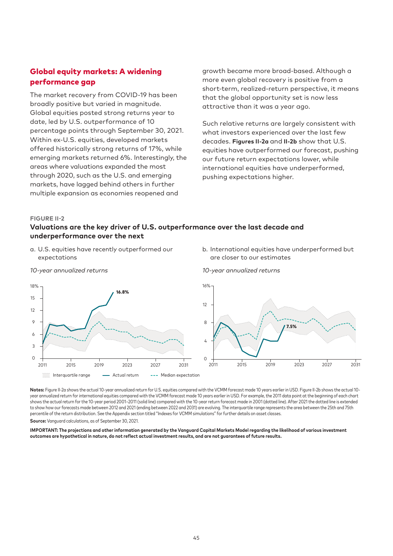# Global equity markets: A widening performance gap

The market recovery from COVID-19 has been broadly positive but varied in magnitude. Global equities posted strong returns year to date, led by U.S. outperformance of 10 percentage points through September 30, 2021. Within ex-U.S. equities, developed markets offered historically strong returns of 17%, while emerging markets returned 6%. Interestingly, the areas where valuations expanded the most through 2020, such as the U.S. and emerging markets, have lagged behind others in further multiple expansion as economies reopened and

growth became more broad-based. Although a more even global recovery is positive from a short-term, realized-return perspective, it means that the global opportunity set is now less attractive than it was a year ago.

Such relative returns are largely consistent with what investors experienced over the last few decades. **Figures II-2a** and **II-2b** show that U.S. equities have outperformed our forecast, pushing our future return expectations lower, while international equities have underperformed, pushing expectations higher.

#### **FIGURE II-2**

# **Valuations are the key driver of U.S. outperformance over the last decade and underperformance over the next**

- a. U.S. equities have recently outperformed our expectations
- b. International equities have underperformed but are closer to our estimates



Notes: Figure II-2a shows the actual 10-year annualized return for U.S. equities compared with the VCMM forecast made 10 years earlier in USD. Figure II-2b shows the actual 10year annualized return for international equities compared with the VCMM forecast made 10 years earlier in USD. For example, the 2011 data point at the beginning of each chart shows the actual return for the 10-year period 2001–2011 (solid line) compared with the 10-year return forecast made in 2001 (dotted line). After 2021 the dotted line is extended to show how our forecasts made between 2012 and 2021 (ending between 2022 and 2031) are evolving. The interquartile range represents the area between the 25th and 75th percentile of the return distribution. See the Appendix section titled "Indexes for VCMM simulations" for further details on asset classes.

**Source:** Vanguard calculations, as of September 30, 2021.

**IMPORTANT: The projections and other information generated by the Vanguard Capital Markets Model regarding the likelihood of various investment outcomes are hypothetical in nature, do not reflect actual investment results, and are not guarantees of future results.**

*10-year annualized returns*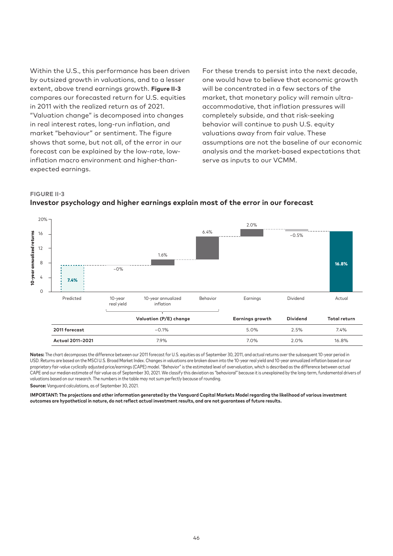Within the U.S., this performance has been driven by outsized growth in valuations, and to a lesser extent, above trend earnings growth. **Figure II-3** compares our forecasted return for U.S. equities in 2011 with the realized return as of 2021. "Valuation change" is decomposed into changes in real interest rates, long-run inflation, and market "behaviour" or sentiment. The figure shows that some, but not all, of the error in our forecast can be explained by the low-rate, lowinflation macro environment and higher-thanexpected earnings.

For these trends to persist into the next decade, one would have to believe that economic growth will be concentrated in a few sectors of the market, that monetary policy will remain ultraaccommodative, that inflation pressures will completely subside, and that risk-seeking behavior will continue to push U.S. equity valuations away from fair value. These assumptions are not the baseline of our economic analysis and the market-based expectations that serve as inputs to our VCMM.

#### **FIGURE II-3**



# **Investor psychology and higher earnings explain most of the error in our forecast**

**Notes:** The chart decomposes the difference between our 2011 forecast for U.S. equities as of September 30, 2011, and actual returns over the subsequent 10-year period in USD. Returns are based on the MSCI U.S. Broad Market Index. Changes in valuations are broken down into the 10-year real yield and 10-year annualized inflation based on our proprietary fair-value cyclically adjusted price/earnings (CAPE) model. "Behavior" is the estimated level of overvaluation, which is described as the difference between actual CAPE and our median estimate of fair value as of September 30, 2021. We classify this deviation as "behavioral" because it is unexplained by the long-term, fundamental drivers of valuations based on our research. The numbers in the table may not sum perfectly because of rounding.

**Source:** Vanguard calculations, as of September 30, 2021.

**IMPORTANT: The projections and other information generated by the Vanguard Capital Markets Model regarding the likelihood of various investment outcomes are hypothetical in nature, do not reflect actual investment results, and are not guarantees of future results.**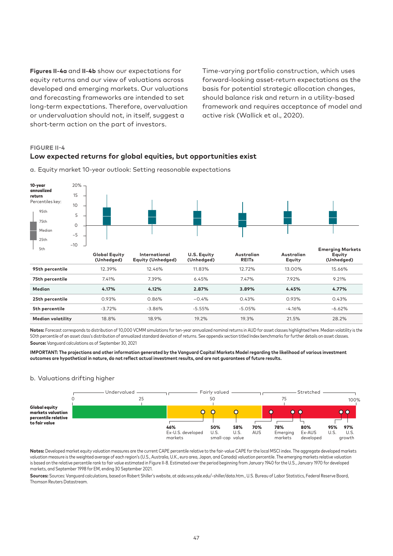**Figures II-4a** and **II-4b** show our expectations for equity returns and our view of valuations across developed and emerging markets. Our valuations and forecasting frameworks are intended to set long-term expectations. Therefore, overvaluation or undervaluation should not, in itself, suggest a short-term action on the part of investors.

Time-varying portfolio construction, which uses forward-looking asset-return expectations as the basis for potential strategic allocation changes, should balance risk and return in a utility-based framework and requires acceptance of model and active risk (Wallick et al., 2020).

#### **FIGURE II-4**

### **Low expected returns for global equities, but opportunities exist**



a. Equity market 10-year outlook: Setting reasonable expectations

**Notes:** Forecast corresponds to distribution of 10,000 VCMM simulations for ten-year annualized nominal returns in AUD for asset classes highlighted here. Median volatility is the 50th percentile of an asset class's distribution of annualized standard deviation of returns. See appendix section titled Index benchmarks for further details on asset classes. **Source:** Vanguard calculations as of September 30, 2021

**IMPORTANT: The projections and other information generated by the Vanguard Capital Markets Model regarding the likelihood of various investment outcomes are hypothetical in nature, do not reflect actual investment results, and are not guarantees of future results.**

**25th percentile** 0.93% 0.86% –0.4% 0.43% 0.93% 0.43% **5th percentile** -3.72% -3.86% -5.55% -5.05% -4.16% -6.62% **Median volatility** 18.8% 18.9% 19.2% 19.3% 21.5% 28.2%

#### b. Valuations drifting higher



**Notes:** Developed market equity valuation measures are the current CAPE percentile relative to the fair-value CAPE for the local MSCI index. The aggregate developed markets valuation measure is the weighted average of each region's (U.S., Australia, U.K., euro area, Japan, and Canada) valuation percentile. The emerging markets relative valuation is based on the relative percentile rank to fair value estimated in Figure II-8. Estimated over the period beginning from January 1940 for the U.S., January 1970 for developed markets, and September 1998 for EM, ending 30 September 2021.

**Sources:** Sources: Vanguard calculations, based on Robert Shiller's website, at aida.wss.yale.edu/~shiller/data.htm., U.S. Bureau of Labor Statistics, Federal Reserve Board, Thomson Reuters Datastream.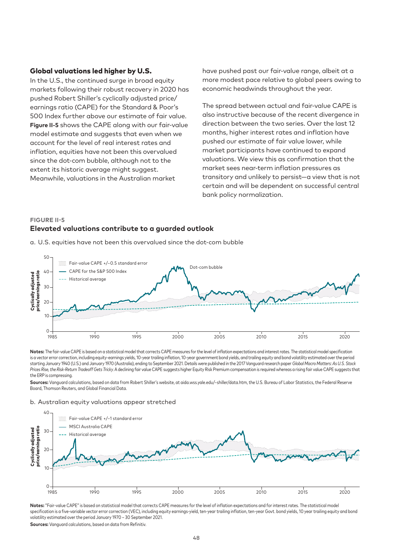#### Global valuations led higher by U.S.

In the U.S., the continued surge in broad equity markets following their robust recovery in 2020 has pushed Robert Shiller's cyclically adjusted price/ earnings ratio (CAPE) for the Standard & Poor's 500 Index further above our estimate of fair value. **Figure II-5** shows the CAPE along with our fair-value model estimate and suggests that even when we account for the level of real interest rates and inflation, equities have not been this overvalued since the dot-com bubble, although not to the extent its historic average might suggest. Meanwhile, valuations in the Australian market

have pushed past our fair-value range, albeit at a more modest pace relative to global peers owing to economic headwinds throughout the year.

The spread between actual and fair-value CAPE is also instructive because of the recent divergence in direction between the two series. Over the last 12 months, higher interest rates and inflation have pushed our estimate of fair value lower, while market participants have continued to expand valuations. We view this as confirmation that the market sees near-term inflation pressures as transitory and unlikely to persist—a view that is not certain and will be dependent on successful central bank policy normalization.

# **FIGURE II-5 Elevated valuations contribute to a guarded outlook**

a. U.S. equities have not been this overvalued since the dot-com bubble



**Notes:** The fair-value CAPE is based on a statistical model that corrects CAPE measures for the level of inflation expectations and interest rates. The statistical model specification is a vector error correction, including equity-earnings yields, 10-year trailing inflation, 10-year government bond yields, and trailing equity and bond volatility estimated over the period starting January 1940 (U.S.) and January 1970 (Australia), ending to September 2021. Details were published in the 2017 Vanguard research paper *Global Macro Matters: As U.S. Stock Prices Rise, the Risk-Return Tradeoff Gets Tricky*. A declining fair value CAPE suggests higher Equity Risk Premium compensation is required whereas a rising fair value CAPE suggests that the ERP is compressing.

**Sources:** Vanguard calculations, based on data from Robert Shiller's website, at aida.wss.yale.edu/~shiller/data.htm, the U.S. Bureau of Labor Statistics, the Federal Reserve Board, Thomson Reuters, and Global Financial Data.

#### b. Australian equity valuations appear stretched



Notes: "Fair-value CAPE" is based on statistical model that corrects CAPE measures for the level of inflation expectations and for interest rates. The statistical model specification is a five-variable vector error correction (VEC), including equity earnings-yield, ten-year trailing inflation, ten-year Govt. bond yields, 10 year trailing equity and bond volatility estimated over the period January 1970 – 30 September 2021.

**Sources:** Vanguard calculations, based on data from Refinitiv.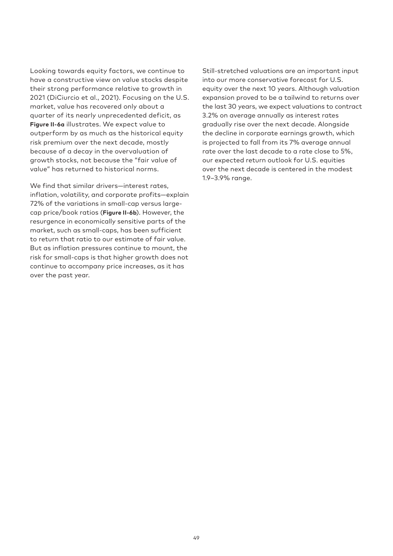Looking towards equity factors, we continue to have a constructive view on value stocks despite their strong performance relative to growth in 2021 (DiCiurcio et al., 2021). Focusing on the U.S. market, value has recovered only about a quarter of its nearly unprecedented deficit, as **Figure II-6a** illustrates. We expect value to outperform by as much as the historical equity risk premium over the next decade, mostly because of a decay in the overvaluation of growth stocks, not because the "fair value of value" has returned to historical norms.

We find that similar drivers—interest rates, inflation, volatility, and corporate profits—explain 72% of the variations in small-cap versus largecap price/book ratios (**Figure II-6b**). However, the resurgence in economically sensitive parts of the market, such as small-caps, has been sufficient to return that ratio to our estimate of fair value. But as inflation pressures continue to mount, the risk for small-caps is that higher growth does not continue to accompany price increases, as it has over the past year.

Still-stretched valuations are an important input into our more conservative forecast for U.S. equity over the next 10 years. Although valuation expansion proved to be a tailwind to returns over the last 30 years, we expect valuations to contract 3.2% on average annually as interest rates gradually rise over the next decade. Alongside the decline in corporate earnings growth, which is projected to fall from its 7% average annual rate over the last decade to a rate close to 5%, our expected return outlook for U.S. equities over the next decade is centered in the modest 1.9–3.9% range.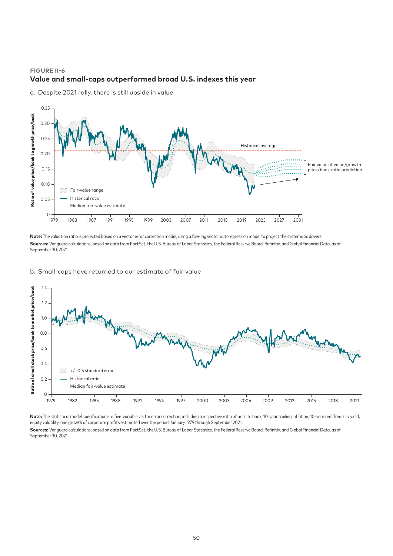# **FIGURE II-6 Value and small-caps outperformed broad U.S. indexes this year**



a. Despite 2021 rally, there is still upside in value

**Note:** The valuation ratio is projected based on a vector error correction model, using a five-lag vector autoregression model to project the systematic drivers. Sources: Vanguard calculations, based on data from FactSet, the U.S. Bureau of Labor Statistics, the Federal Reserve Board, Refinitiv, and Global Financial Data, as of September 30, 2021.

#### b. Small-caps have returned to our estimate of fair value



**Note:** The statistical model specification is a five-variable vector error correction, including a respective ratio of price to book, 10-year trailing inflation, 10-year real Treasury yield, equity volatility, and growth of corporate profits estimated over the period January 1979 through September 2021.

Sources: Vanguard calculations, based on data from FactSet, the U.S. Bureau of Labor Statistics, the Federal Reserve Board, Refinitiv, and Global Financial Data, as of September 30, 2021.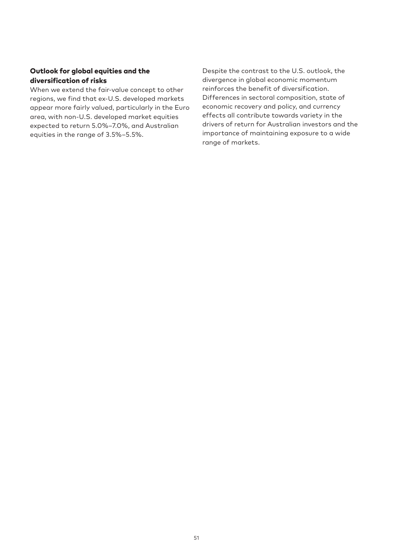# Outlook for global equities and the diversification of risks

When we extend the fair-value concept to other regions, we find that ex-U.S. developed markets appear more fairly valued, particularly in the Euro area, with non-U.S. developed market equities expected to return 5.0%–7.0%, and Australian equities in the range of 3.5%–5.5%.

Despite the contrast to the U.S. outlook, the divergence in global economic momentum reinforces the benefit of diversification. Differences in sectoral composition, state of economic recovery and policy, and currency effects all contribute towards variety in the drivers of return for Australian investors and the importance of maintaining exposure to a wide range of markets.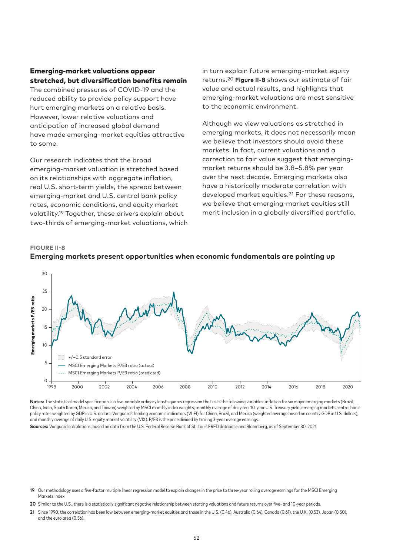# Emerging-market valuations appear stretched, but diversification benefits remain

The combined pressures of COVID-19 and the reduced ability to provide policy support have hurt emerging markets on a relative basis. However, lower relative valuations and anticipation of increased global demand have made emerging-market equities attractive to some.

Our research indicates that the broad emerging-market valuation is stretched based on its relationships with aggregate inflation, real U.S. short-term yields, the spread between emerging-market and U.S. central bank policy rates, economic conditions, and equity market volatility.19 Together, these drivers explain about two-thirds of emerging-market valuations, which in turn explain future emerging-market equity returns.20 **Figure II-8** shows our estimate of fair value and actual results, and highlights that emerging-market valuations are most sensitive to the economic environment.

Although we view valuations as stretched in emerging markets, it does not necessarily mean we believe that investors should avoid these markets. In fact, current valuations and a correction to fair value suggest that emergingmarket returns should be 3.8–5.8% per year over the next decade. Emerging markets also have a historically moderate correlation with developed market equities.21 For these reasons, we believe that emerging-market equities still merit inclusion in a globally diversified portfolio.

# 30 25 Emerging markets P/E3 ratio Emerging markets P/E3 ratio 20 15 10 +/–0.5 standard error 5 MSCI Emerging Markets P/E3 ratio (actual) MSCI Emerging Markets P/E3 ratio (predicted)  $\overline{O}$ 1998 2000 2002 2004 2006 2008 2010 2012 2014 2016 2018 2020

#### **FIGURE II-8 Emerging markets present opportunities when economic fundamentals are pointing up**

**Notes:** The statistical model specification is a five-variable ordinary least squares regression that uses the following variables: inflation for six major emerging markets (Brazil, China, India, South Korea, Mexico, and Taiwan) weighted by MSCI monthly index weights; monthly average of daily real 10-year U.S. Treasury yield; emerging markets central bank policy rates weighted by GDP in U.S. dollars; Vanguard's leading economic indicators (VLEI) for China, Brazil, and Mexico (weighted average based on country GDP in U.S. dollars); and monthly average of daily U.S. equity market volatility (VIX). P/E3 is the price divided by trailing 3-year average earnings.

**Sources:** Vanguard calculations, based on data from the U.S. Federal Reserve Bank of St. Louis FRED database and Bloomberg, as of September 30, 2021.

20 Similar to the U.S., there is a statistically significant negative relationship between starting valuations and future returns over five- and 10-year periods.

**21** Since 1990, the correlation has been low between emerging-market equities and those in the U.S. (0.46), Australia (0.64), Canada (0.61), the U.K. (0.53), Japan (0.50), and the euro area (0.56).

**<sup>19</sup>** Our methodology uses a five-factor multiple linear regression model to explain changes in the price to three-year rolling average earnings for the MSCI Emerging Markets Index.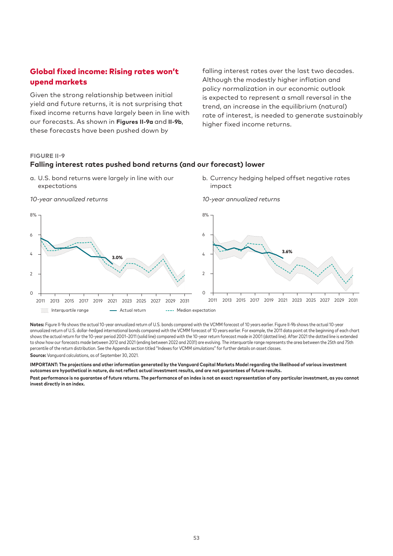# Global fixed income: Rising rates won't upend markets

Given the strong relationship between initial yield and future returns, it is not surprising that fixed income returns have largely been in line with our forecasts. As shown in **Figures II-9a** and **II-9b**, these forecasts have been pushed down by

falling interest rates over the last two decades. Although the modestly higher inflation and policy normalization in our economic outlook is expected to represent a small reversal in the trend, an increase in the equilibrium (natural) rate of interest, is needed to generate sustainably higher fixed income returns.

#### **FIGURE II-9**

#### **Falling interest rates pushed bond returns (and our forecast) lower**

- a. U.S. bond returns were largely in line with our expectations
- b. Currency hedging helped offset negative rates impact



*10-year annualized returns*

Notes: Figure II-9a shows the actual 10-year annualized return of U.S. bonds compared with the VCMM forecast of 10 years earlier. Figure II-9b shows the actual 10-year annualized return of U.S. dollar-hedged international bonds compared with the VCMM forecast of 10 years earlier. For example, the 2011 data point at the beginning of each chart shows the actual return for the 10-year period 2001–2011 (solid line) compared with the 10-year return forecast made in 2001 (dotted line). After 2021 the dotted line is extended to show how our forecasts made between 2012 and 2021 (ending between 2022 and 2031) are evolving. The interquartile range represents the area between the 25th and 75th percentile of the return distribution. See the Appendix section titled "Indexes for VCMM simulations" for further details on asset classes.

**Source:** Vanguard calculations, as of September 30, 2021.

**IMPORTANT: The projections and other information generated by the Vanguard Capital Markets Model regarding the likelihood of various investment outcomes are hypothetical in nature, do not reflect actual investment results, and are not guarantees of future results.**

**Past performance is no guarantee of future returns. The performance of an index is not an exact representation of any particular investment, as you cannot invest directly in an index.**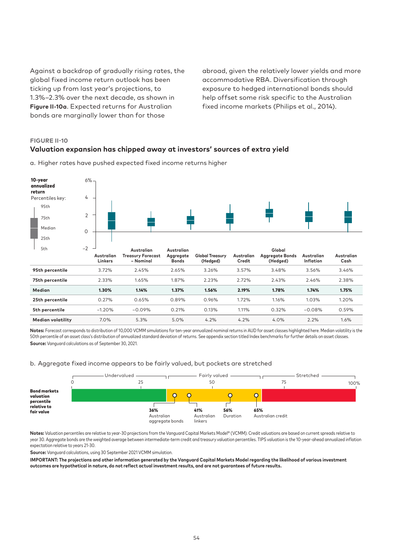Against a backdrop of gradually rising rates, the global fixed income return outlook has been ticking up from last year's projections, to 1.3%–2.3% over the next decade, as shown in **Figure II-10a**. Expected returns for Australian bonds are marginally lower than for those

abroad, given the relatively lower yields and more accommodative RBA. Diversification through exposure to hedged international bonds should help offset some risk specific to the Australian fixed income markets (Philips et al., 2014).

# **FIGURE II-10**

# **Valuation expansion has chipped away at investors' sources of extra yield**



a. Higher rates have pushed expected fixed income returns higher

**Notes:** Forecast corresponds to distribution of 10,000 VCMM simulations for ten-year annualized nominal returns in AUD for asset classes highlighted here. Median volatility is the 50th percentile of an asset class's distribution of annualized standard deviation of returns. See appendix section titled Index benchmarks for further details on asset classes. **Source:** Vanguard calculations as of September 30, 2021.

#### b. Aggregate fixed income appears to be fairly valued, but pockets are stretched



Notes: Valuation percentiles are relative to year-30 projections from the Vanguard Capital Markets Model® (VCMM). Credit valuations are based on current spreads relative to year 30. Aggregate bonds are the weighted average between intermediate-term credit and treasury valuation percentiles. TIPS valuation is the 10-year-ahead annualized inflation expectation relative to years 21-30.

**Source:** Vanguard calculations, using 30 September 2021 VCMM simulation.

**IMPORTANT: The projections and other information generated by the Vanguard Capital Markets Model regarding the likelihood of various investment outcomes are hypothetical in nature, do not reflect actual investment results, and are not guarantees of future results.**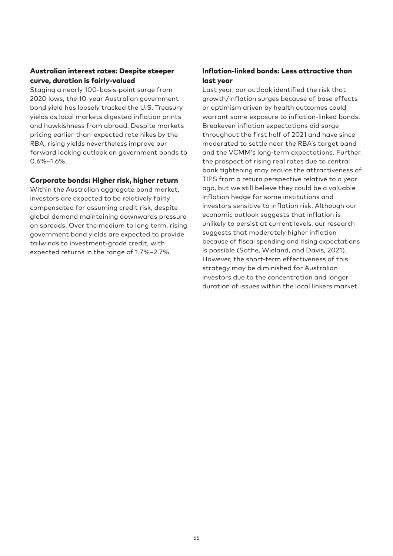# Australian interest rates: Despite steeper curve, duration is fairly-valued

Staging a nearly 100-basis-point surge from 2020 lows, the 10-year Australian government bond yield has loosely tracked the U.S. Treasury yields as local markets digested inflation prints and hawkishness from abroad. Despite markets pricing earlier-than-expected rate hikes by the RBA, rising yields nevertheless improve our forward looking outlook on government bonds to  $0.6\% - 1.6\%$ .

#### Corporate bonds: Higher risk, higher return

Within the Australian aggregate bond market, investors are expected to be relatively fairly compensated for assuming credit risk, despite global demand maintaining downwards pressure on spreads. Over the medium to long term, rising government bond yields are expected to provide tailwinds to investment-grade credit, with expected returns in the range of 1.7%–2.7%.

# Inflation-linked bonds: Less attractive than last year

Last year, our outlook identified the risk that growth/inflation surges because of base effects or optimism driven by health outcomes could warrant some exposure to inflation-linked bonds. Breakeven inflation expectations did surge throughout the first half of 2021 and have since moderated to settle near the RBA's target band and the VCMM's long-term expectations. Further, the prospect of rising real rates due to central bank tightening may reduce the attractiveness of TIPS from a return perspective relative to a year ago, but we still believe they could be a valuable inflation hedge for some institutions and investors sensitive to inflation risk. Although our economic outlook suggests that inflation is unlikely to persist at current levels, our research suggests that moderately higher inflation because of fiscal spending and rising expectations is possible (Sathe, Wieland, and Davis, 2021). However, the short-term effectiveness of this strategy may be diminished for Australian investors due to the concentration and longer duration of issues within the local linkers market.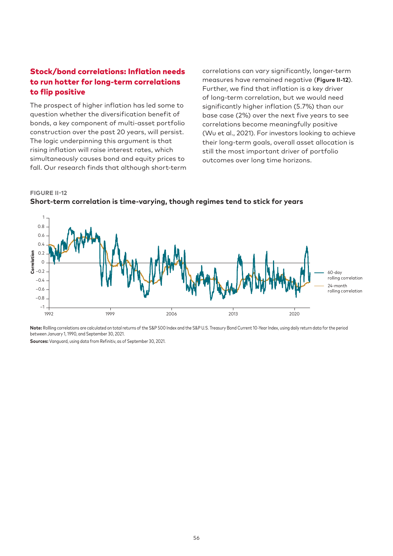# Stock/bond correlations: Inflation needs to run hotter for long-term correlations to flip positive

The prospect of higher inflation has led some to question whether the diversification benefit of bonds, a key component of multi-asset portfolio construction over the past 20 years, will persist. The logic underpinning this argument is that rising inflation will raise interest rates, which simultaneously causes bond and equity prices to fall. Our research finds that although short-term correlations can vary significantly, longer-term measures have remained negative (**Figure II-12**). Further, we find that inflation is a key driver of long-term correlation, but we would need significantly higher inflation (5.7%) than our base case (2%) over the next five years to see correlations become meaningfully positive (Wu et al., 2021). For investors looking to achieve their long-term goals, overall asset allocation is still the most important driver of portfolio outcomes over long time horizons.

#### **FIGURE II-12**

**Short-term correlation is time-varying, though regimes tend to stick for years**



**Note:** Rollling correlations are calculated on total returns of the S&P 500 Index and the S&P U.S. Treasury Bond Current 10-Year Index, using daily return data for the period between January 1, 1990, and September 30, 2021.

**Sources:** Vanguard, using data from Refinitiv, as of September 30, 2021.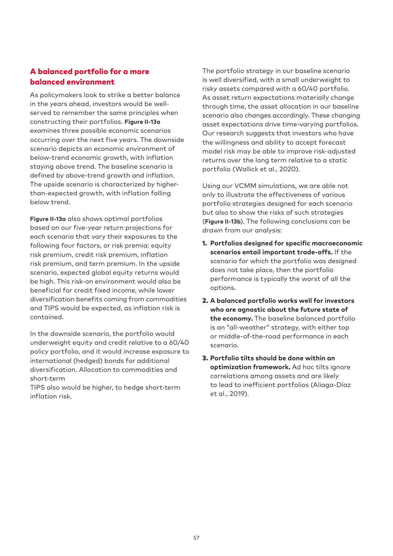# A balanced portfolio for a more balanced environment

As policymakers look to strike a better balance in the years ahead, investors would be wellserved to remember the same principles when constructing their portfolios. **Figure II-13a** examines three possible economic scenarios occurring over the next five years. The downside scenario depicts an economic environment of below-trend economic growth, with inflation staying above trend. The baseline scenario is defined by above-trend growth and inflation. The upside scenario is characterized by higherthan-expected growth, with inflation falling below trend.

**Figure II-13a** also shows optimal portfolios based on our five-year return projections for each scenario that vary their exposures to the following four factors, or risk premia: equity risk premium, credit risk premium, inflation risk premium, and term premium. In the upside scenario, expected global equity returns would be high. This risk-on environment would also be beneficial for credit fixed income, while lower diversification benefits coming from commodities and TIPS would be expected, as inflation risk is contained.

In the downside scenario, the portfolio would underweight equity and credit relative to a 60/40 policy portfolio, and it would increase exposure to international (hedged) bonds for additional diversification. Allocation to commodities and short-term

TIPS also would be higher, to hedge short-term inflation risk.

The portfolio strategy in our baseline scenario is well diversified, with a small underweight to risky assets compared with a 60/40 portfolio. As asset return expectations materially change through time, the asset allocation in our baseline scenario also changes accordingly. These changing asset expectations drive time-varying portfolios. Our research suggests that investors who have the willingness and ability to accept forecast model risk may be able to improve risk-adjusted returns over the long term relative to a static portfolio (Wallick et al., 2020).

Using our VCMM simulations, we are able not only to illustrate the effectiveness of various portfolio strategies designed for each scenario but also to show the risks of such strategies (**Figure II-13b**). The following conclusions can be drawn from our analysis:

- 1. **Portfolios designed for specific macroeconomic scenarios entail important trade-offs.** If the scenario for which the portfolio was designed does not take place, then the portfolio performance is typically the worst of all the options.
- 2. **A balanced portfolio works well for investors who are agnostic about the future state of the economy.** The baseline balanced portfolio is an "all-weather" strategy, with either top or middle-of-the-road performance in each scenario.
- 3. **Portfolio tilts should be done within an optimization framework.** Ad hoc tilts ignore correlations among assets and are likely to lead to inefficient portfolios (Aliaga-Díaz et al., 2019).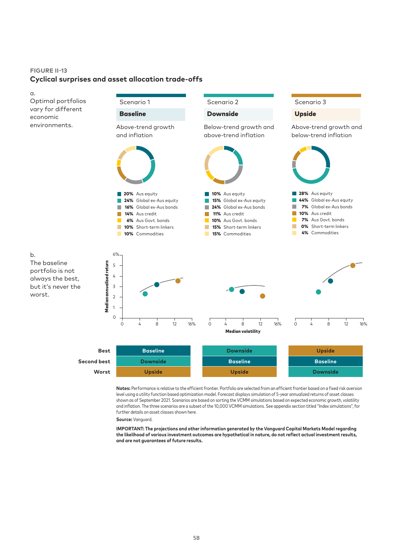# **FIGURE II-13 Cyclical surprises and asset allocation trade-offs**



**Notes:** Performance is relative to the efficient frontier. Portfolio are selected from an efficient frontier based on a fixed risk aversion level using a utility function based optimization model. Forecast displays simulation of 5-year annualized returns of asset classes shown as of September 2021. Scenarios are based on sorting the VCMM simulations based on expected economic growth, volatility and inflation. The three scenarios are a subset of the 10,000 VCMM simulations. See appendix section titled "Index simulations", for further details on asset classes shown here.

**Source:** Vanguard.

**IMPORTANT: The projections and other information generated by the Vanguard Capital Markets Model regarding the likelihood of various investment outcomes are hypothetical in nature, do not reflect actual investment results, and are not guarantees of future results.**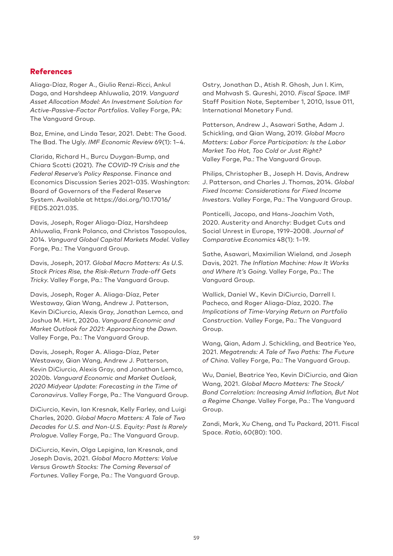# References

Aliaga-Díaz, Roger A., Giulio Renzi-Ricci, Ankul Daga, and Harshdeep Ahluwalia, 2019. *Vanguard Asset Allocation Model: An Investment Solution for Active-Passive-Factor Portfolios*. Valley Forge, PA: The Vanguard Group.

Boz, Emine, and Linda Tesar, 2021. Debt: The Good. The Bad. The Ugly. *IMF Economic Review* 69(1): 1–4.

Clarida, Richard H., Burcu Duygan-Bump, and Chiara Scotti (2021). *The COVID-19 Crisis and the Federal Reserve's Policy Response*. Finance and Economics Discussion Series 2021-035. Washington: Board of Governors of the Federal Reserve System. Available at https://doi.org/10.17016/ FEDS.2021.035.

Davis, Joseph, Roger Aliaga-Díaz, Harshdeep Ahluwalia, Frank Polanco, and Christos Tasopoulos, 2014. *Vanguard Global Capital Markets Model*. Valley Forge, Pa.: The Vanguard Group.

Davis, Joseph, 2017. *Global Macro Matters: As U.S. Stock Prices Rise, the Risk-Return Trade-off Gets Tricky*. Valley Forge, Pa.: The Vanguard Group.

Davis, Joseph, Roger A. Aliaga-Díaz, Peter Westaway, Qian Wang, Andrew J. Patterson, Kevin DiCiurcio, Alexis Gray, Jonathan Lemco, and Joshua M. Hirt, 2020a. *Vanguard Economic and Market Outlook for 2021: Approaching the Dawn*. Valley Forge, Pa.: The Vanguard Group.

Davis, Joseph, Roger A. Aliaga-Díaz, Peter Westaway, Qian Wang, Andrew J. Patterson, Kevin DiCiurcio, Alexis Gray, and Jonathan Lemco, 2020b. *Vanguard Economic and Market Outlook, 2020 Midyear Update: Forecasting in the Time of Coronavirus*. Valley Forge, Pa.: The Vanguard Group.

DiCiurcio, Kevin, Ian Kresnak, Kelly Farley, and Luigi Charles, 2020. *Global Macro Matters: A Tale of Two Decades for U.S. and Non-U.S. Equity: Past Is Rarely Prologue*. Valley Forge, Pa.: The Vanguard Group.

DiCiurcio, Kevin, Olga Lepigina, Ian Kresnak, and Joseph Davis, 2021. *Global Macro Matters: Value Versus Growth Stocks: The Coming Reversal of Fortunes*. Valley Forge, Pa.: The Vanguard Group. Ostry, Jonathan D., Atish R. Ghosh, Jun I. Kim, and Mahvash S. Qureshi, 2010. *Fiscal Space*. IMF Staff Position Note, September 1, 2010, Issue 011, International Monetary Fund.

Patterson, Andrew J., Asawari Sathe, Adam J. Schickling, and Qian Wang, 2019. *Global Macro Matters: Labor Force Participation: Is the Labor Market Too Hot, Too Cold or Just Right?* Valley Forge, Pa.: The Vanguard Group.

Philips, Christopher B., Joseph H. Davis, Andrew J. Patterson, and Charles J. Thomas, 2014. *Global Fixed Income: Considerations for Fixed Income Investors*. Valley Forge, Pa.: The Vanguard Group.

Ponticelli, Jacopo, and Hans-Joachim Voth, 2020. Austerity and Anarchy: Budget Cuts and Social Unrest in Europe, 1919–2008. *Journal of Comparative Economics* 48(1): 1–19.

Sathe, Asawari, Maximilian Wieland, and Joseph Davis, 2021. *The Inflation Machine: How It Works and Where It's Going*. Valley Forge, Pa.: The Vanguard Group.

Wallick, Daniel W., Kevin DiCiurcio, Darrell I. Pacheco, and Roger Aliaga-Díaz, 2020. *The Implications of Time-Varying Return on Portfolio Construction*. Valley Forge, Pa.: The Vanguard Group.

Wang, Qian, Adam J. Schickling, and Beatrice Yeo, 2021. *Megatrends: A Tale of Two Paths: The Future of China*. Valley Forge, Pa.: The Vanguard Group.

Wu, Daniel, Beatrice Yeo, Kevin DiCiurcio, and Qian Wang, 2021. *Global Macro Matters: The Stock/ Bond Correlation: Increasing Amid Inflation, But Not a Regime Change*. Valley Forge, Pa.: The Vanguard Group.

Zandi, Mark, Xu Cheng, and Tu Packard, 2011. Fiscal Space. *Ratio*, 60(80): 100.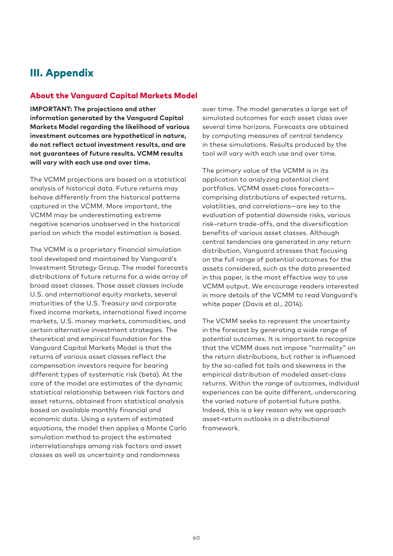# III. Appendix

# About the Vanguard Capital Markets Model

**IMPORTANT: The projections and other information generated by the Vanguard Capital Markets Model regarding the likelihood of various investment outcomes are hypothetical in nature, do not reflect actual investment results, and are not guarantees of future results. VCMM results will vary with each use and over time.**

The VCMM projections are based on a statistical analysis of historical data. Future returns may behave differently from the historical patterns captured in the VCMM. More important, the VCMM may be underestimating extreme negative scenarios unobserved in the historical period on which the model estimation is based.

The VCMM is a proprietary financial simulation tool developed and maintained by Vanguard's Investment Strategy Group. The model forecasts distributions of future returns for a wide array of broad asset classes. Those asset classes include U.S. and international equity markets, several maturities of the U.S. Treasury and corporate fixed income markets, international fixed income markets, U.S. money markets, commodities, and certain alternative investment strategies. The theoretical and empirical foundation for the Vanguard Capital Markets Model is that the returns of various asset classes reflect the compensation investors require for bearing different types of systematic risk (beta). At the core of the model are estimates of the dynamic statistical relationship between risk factors and asset returns, obtained from statistical analysis based on available monthly financial and economic data. Using a system of estimated equations, the model then applies a Monte Carlo simulation method to project the estimated interrelationships among risk factors and asset classes as well as uncertainty and randomness

over time. The model generates a large set of simulated outcomes for each asset class over several time horizons. Forecasts are obtained by computing measures of central tendency in these simulations. Results produced by the tool will vary with each use and over time.

The primary value of the VCMM is in its application to analyzing potential client portfolios. VCMM asset-class forecasts comprising distributions of expected returns, volatilities, and correlations—are key to the evaluation of potential downside risks, various risk–return trade-offs, and the diversification benefits of various asset classes. Although central tendencies are generated in any return distribution, Vanguard stresses that focusing on the full range of potential outcomes for the assets considered, such as the data presented in this paper, is the most effective way to use VCMM output. We encourage readers interested in more details of the VCMM to read Vanguard's white paper (Davis et al., 2014).

The VCMM seeks to represent the uncertainty in the forecast by generating a wide range of potential outcomes. It is important to recognize that the VCMM does not impose "normality" on the return distributions, but rather is influenced by the so-called fat tails and skewness in the empirical distribution of modeled asset-class returns. Within the range of outcomes, individual experiences can be quite different, underscoring the varied nature of potential future paths. Indeed, this is a key reason why we approach asset-return outlooks in a distributional framework.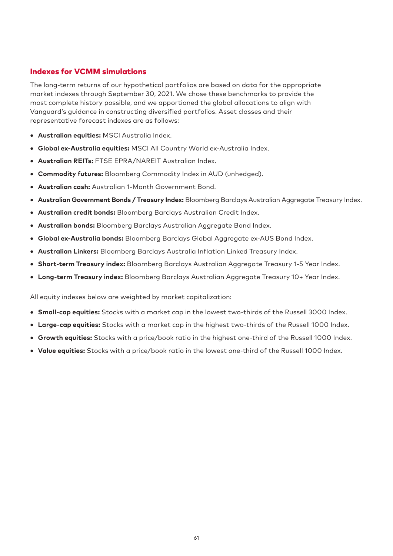# Indexes for VCMM simulations

The long-term returns of our hypothetical portfolios are based on data for the appropriate market indexes through September 30, 2021. We chose these benchmarks to provide the most complete history possible, and we apportioned the global allocations to align with Vanguard's guidance in constructing diversified portfolios. Asset classes and their representative forecast indexes are as follows:

- **Australian equities:** MSCI Australia Index.
- **Global ex-Australia equities:** MSCI All Country World ex-Australia Index.
- **Australian REITs:** FTSE EPRA/NAREIT Australian Index.
- **Commodity futures:** Bloomberg Commodity Index in AUD (unhedged).
- **Australian cash:** Australian 1-Month Government Bond.
- **Australian Government Bonds / Treasury Index:** Bloomberg Barclays Australian Aggregate Treasury Index.
- **Australian credit bonds:** Bloomberg Barclays Australian Credit Index.
- **Australian bonds:** Bloomberg Barclays Australian Aggregate Bond Index.
- **Global ex-Australia bonds:** Bloomberg Barclays Global Aggregate ex-AUS Bond Index.
- **Australian Linkers:** Bloomberg Barclays Australia Inflation Linked Treasury Index.
- **Short-term Treasury index:** Bloomberg Barclays Australian Aggregate Treasury 1-5 Year Index.
- **Long-term Treasury index:** Bloomberg Barclays Australian Aggregate Treasury 10+ Year Index.

All equity indexes below are weighted by market capitalization:

- **Small-cap equities:** Stocks with a market cap in the lowest two-thirds of the Russell 3000 Index.
- **Large-cap equities:** Stocks with a market cap in the highest two-thirds of the Russell 1000 Index.
- **Growth equities:** Stocks with a price/book ratio in the highest one-third of the Russell 1000 Index.
- **Value equities:** Stocks with a price/book ratio in the lowest one-third of the Russell 1000 Index.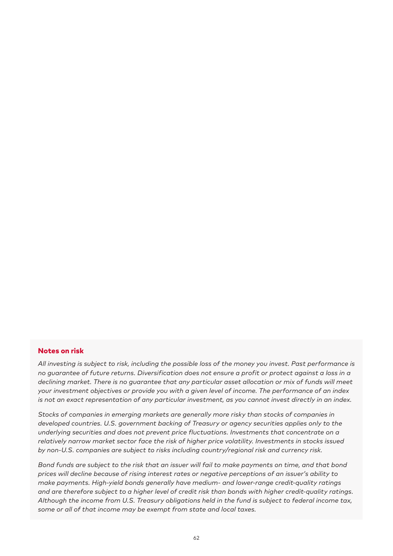#### Notes on risk

*All investing is subject to risk, including the possible loss of the money you invest. Past performance is no guarantee of future returns. Diversification does not ensure a profit or protect against a loss in a declining market. There is no guarantee that any particular asset allocation or mix of funds will meet your investment objectives or provide you with a given level of income. The performance of an index is not an exact representation of any particular investment, as you cannot invest directly in an index.*

*Stocks of companies in emerging markets are generally more risky than stocks of companies in developed countries. U.S. government backing of Treasury or agency securities applies only to the underlying securities and does not prevent price fluctuations. Investments that concentrate on a relatively narrow market sector face the risk of higher price volatility. Investments in stocks issued by non-U.S. companies are subject to risks including country/regional risk and currency risk.*

*Bond funds are subject to the risk that an issuer will fail to make payments on time, and that bond prices will decline because of rising interest rates or negative perceptions of an issuer's ability to make payments. High-yield bonds generally have medium- and lower-range credit-quality ratings and are therefore subject to a higher level of credit risk than bonds with higher credit-quality ratings. Although the income from U.S. Treasury obligations held in the fund is subject to federal income tax, some or all of that income may be exempt from state and local taxes.*